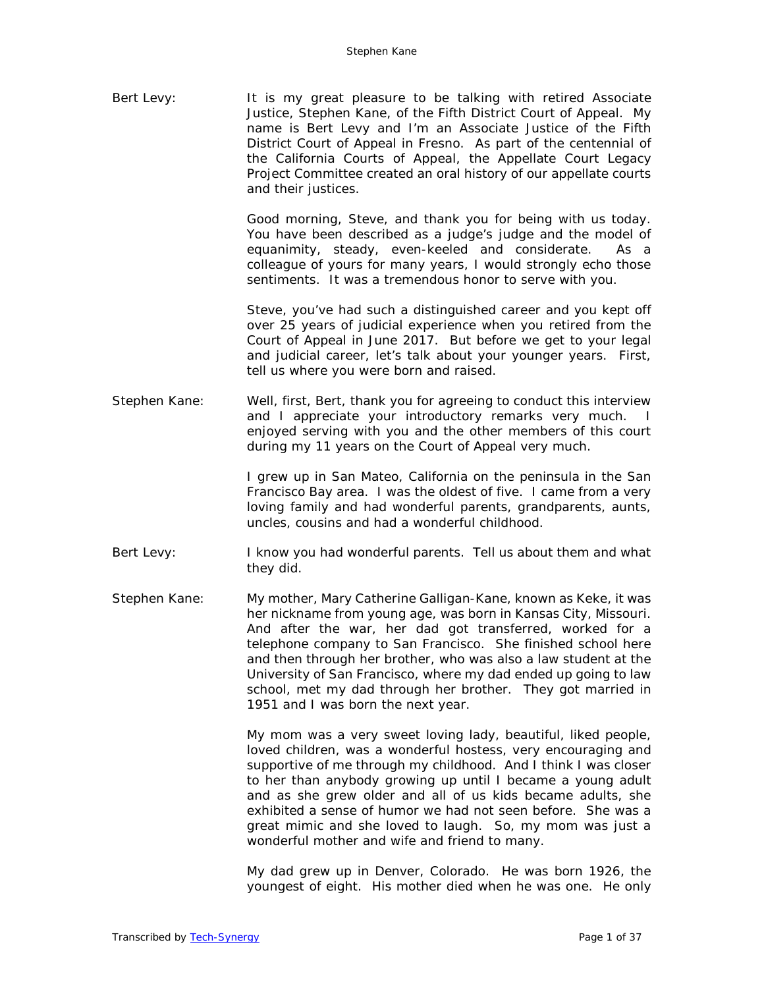Bert Levy: It is my great pleasure to be talking with retired Associate Justice, Stephen Kane, of the Fifth District Court of Appeal. My name is Bert Levy and I'm an Associate Justice of the Fifth District Court of Appeal in Fresno. As part of the centennial of the California Courts of Appeal, the Appellate Court Legacy Project Committee created an oral history of our appellate courts and their justices.

> Good morning, Steve, and thank you for being with us today. You have been described as a judge's judge and the model of equanimity, steady, even-keeled and considerate. As a colleague of yours for many years, I would strongly echo those sentiments. It was a tremendous honor to serve with you.

> Steve, you've had such a distinguished career and you kept off over 25 years of judicial experience when you retired from the Court of Appeal in June 2017. But before we get to your legal and judicial career, let's talk about your younger years. First, tell us where you were born and raised.

Stephen Kane: Well, first, Bert, thank you for agreeing to conduct this interview and I appreciate your introductory remarks very much. enjoyed serving with you and the other members of this court during my 11 years on the Court of Appeal very much.

> I grew up in San Mateo, California on the peninsula in the San Francisco Bay area. I was the oldest of five. I came from a very loving family and had wonderful parents, grandparents, aunts, uncles, cousins and had a wonderful childhood.

- Bert Levy: I know you had wonderful parents. Tell us about them and what they did.
- Stephen Kane: My mother, Mary Catherine Galligan-Kane, known as Keke, it was her nickname from young age, was born in Kansas City, Missouri. And after the war, her dad got transferred, worked for a telephone company to San Francisco. She finished school here and then through her brother, who was also a law student at the University of San Francisco, where my dad ended up going to law school, met my dad through her brother. They got married in 1951 and I was born the next year.

My mom was a very sweet loving lady, beautiful, liked people, loved children, was a wonderful hostess, very encouraging and supportive of me through my childhood. And I think I was closer to her than anybody growing up until I became a young adult and as she grew older and all of us kids became adults, she exhibited a sense of humor we had not seen before. She was a great mimic and she loved to laugh. So, my mom was just a wonderful mother and wife and friend to many.

My dad grew up in Denver, Colorado. He was born 1926, the youngest of eight. His mother died when he was one. He only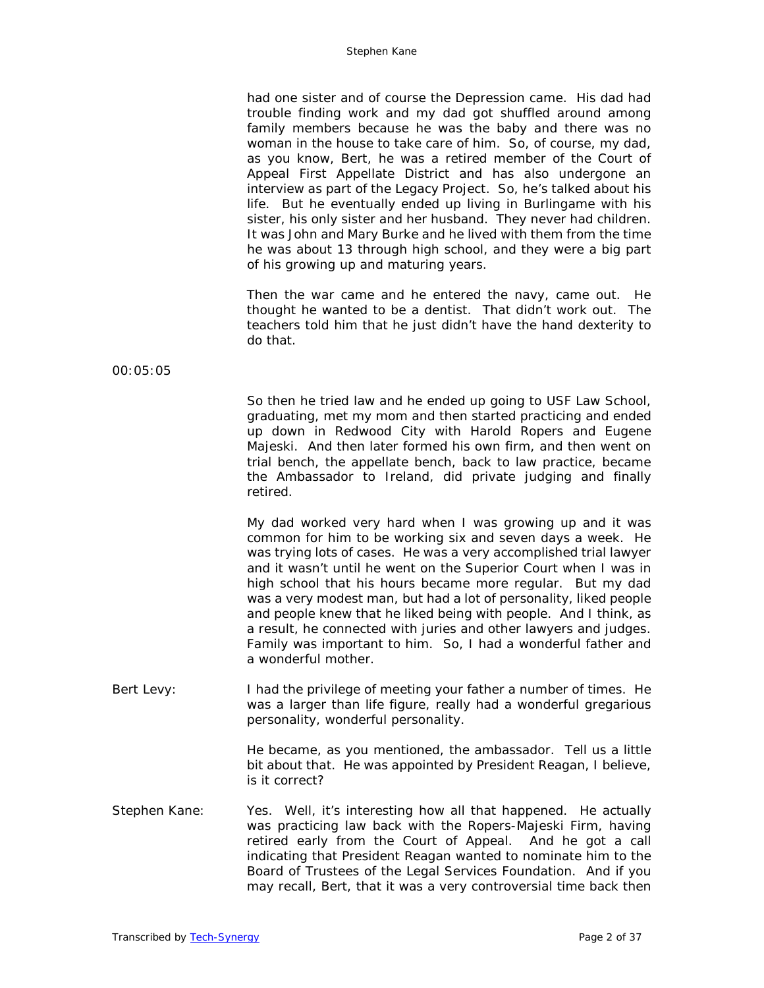had one sister and of course the Depression came. His dad had trouble finding work and my dad got shuffled around among family members because he was the baby and there was no woman in the house to take care of him. So, of course, my dad, as you know, Bert, he was a retired member of the Court of Appeal First Appellate District and has also undergone an interview as part of the Legacy Project. So, he's talked about his life. But he eventually ended up living in Burlingame with his sister, his only sister and her husband. They never had children. It was John and Mary Burke and he lived with them from the time he was about 13 through high school, and they were a big part of his growing up and maturing years.

Then the war came and he entered the navy, came out. He thought he wanted to be a dentist. That didn't work out. The teachers told him that he just didn't have the hand dexterity to do that.

00:05:05

So then he tried law and he ended up going to USF Law School, graduating, met my mom and then started practicing and ended up down in Redwood City with Harold Ropers and Eugene Majeski. And then later formed his own firm, and then went on trial bench, the appellate bench, back to law practice, became the Ambassador to Ireland, did private judging and finally retired.

My dad worked very hard when I was growing up and it was common for him to be working six and seven days a week. He was trying lots of cases. He was a very accomplished trial lawyer and it wasn't until he went on the Superior Court when I was in high school that his hours became more regular. But my dad was a very modest man, but had a lot of personality, liked people and people knew that he liked being with people. And I think, as a result, he connected with juries and other lawyers and judges. Family was important to him. So, I had a wonderful father and a wonderful mother.

Bert Levy: I had the privilege of meeting your father a number of times. He was a larger than life figure, really had a wonderful gregarious personality, wonderful personality.

> He became, as you mentioned, the ambassador. Tell us a little bit about that. He was appointed by President Reagan, I believe, is it correct?

Stephen Kane: Yes. Well, it's interesting how all that happened. He actually was practicing law back with the Ropers-Majeski Firm, having retired early from the Court of Appeal. And he got a call indicating that President Reagan wanted to nominate him to the Board of Trustees of the Legal Services Foundation. And if you may recall, Bert, that it was a very controversial time back then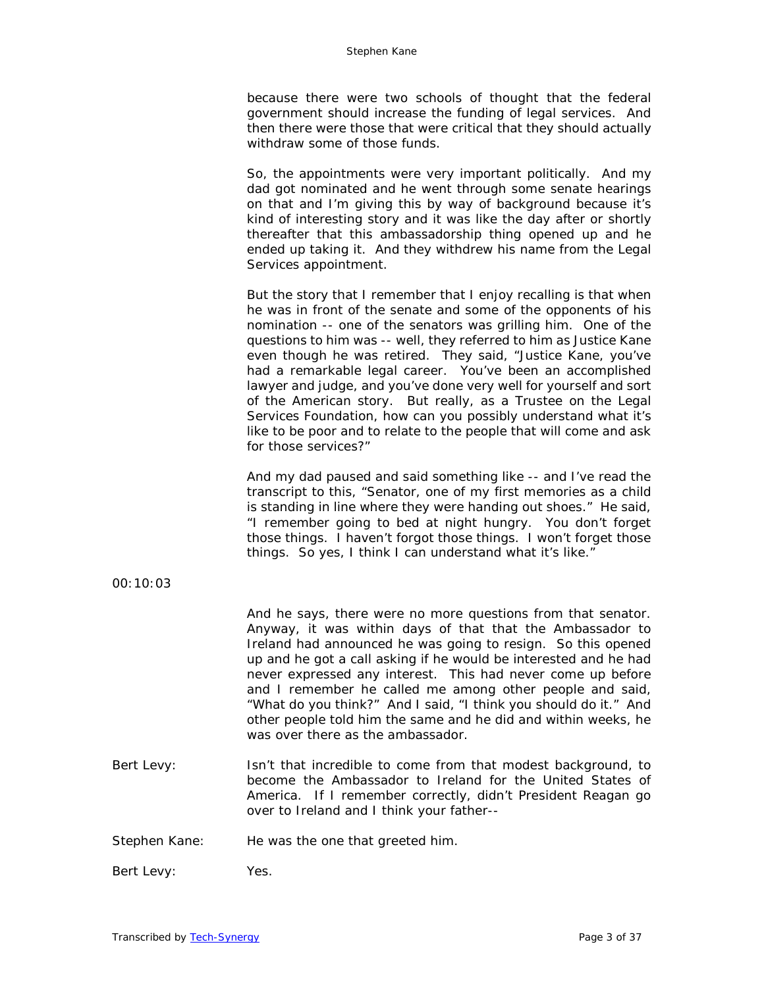because there were two schools of thought that the federal government should increase the funding of legal services. And then there were those that were critical that they should actually withdraw some of those funds.

So, the appointments were very important politically. And my dad got nominated and he went through some senate hearings on that and I'm giving this by way of background because it's kind of interesting story and it was like the day after or shortly thereafter that this ambassadorship thing opened up and he ended up taking it. And they withdrew his name from the Legal Services appointment.

But the story that I remember that I enjoy recalling is that when he was in front of the senate and some of the opponents of his nomination -- one of the senators was grilling him. One of the questions to him was -- well, they referred to him as Justice Kane even though he was retired. They said, "Justice Kane, you've had a remarkable legal career. You've been an accomplished lawyer and judge, and you've done very well for yourself and sort of the American story. But really, as a Trustee on the Legal Services Foundation, how can you possibly understand what it's like to be poor and to relate to the people that will come and ask for those services?"

And my dad paused and said something like -- and I've read the transcript to this, "Senator, one of my first memories as a child is standing in line where they were handing out shoes." He said, "I remember going to bed at night hungry. You don't forget those things. I haven't forgot those things. I won't forget those things. So yes, I think I can understand what it's like."

00:10:03

And he says, there were no more questions from that senator. Anyway, it was within days of that that the Ambassador to Ireland had announced he was going to resign. So this opened up and he got a call asking if he would be interested and he had never expressed any interest. This had never come up before and I remember he called me among other people and said, "What do you think?" And I said, "I think you should do it." And other people told him the same and he did and within weeks, he was over there as the ambassador.

Bert Levy: Isn't that incredible to come from that modest background, to become the Ambassador to Ireland for the United States of America. If I remember correctly, didn't President Reagan go over to Ireland and I think your father--

Stephen Kane: He was the one that greeted him.

Bert Levy: Yes.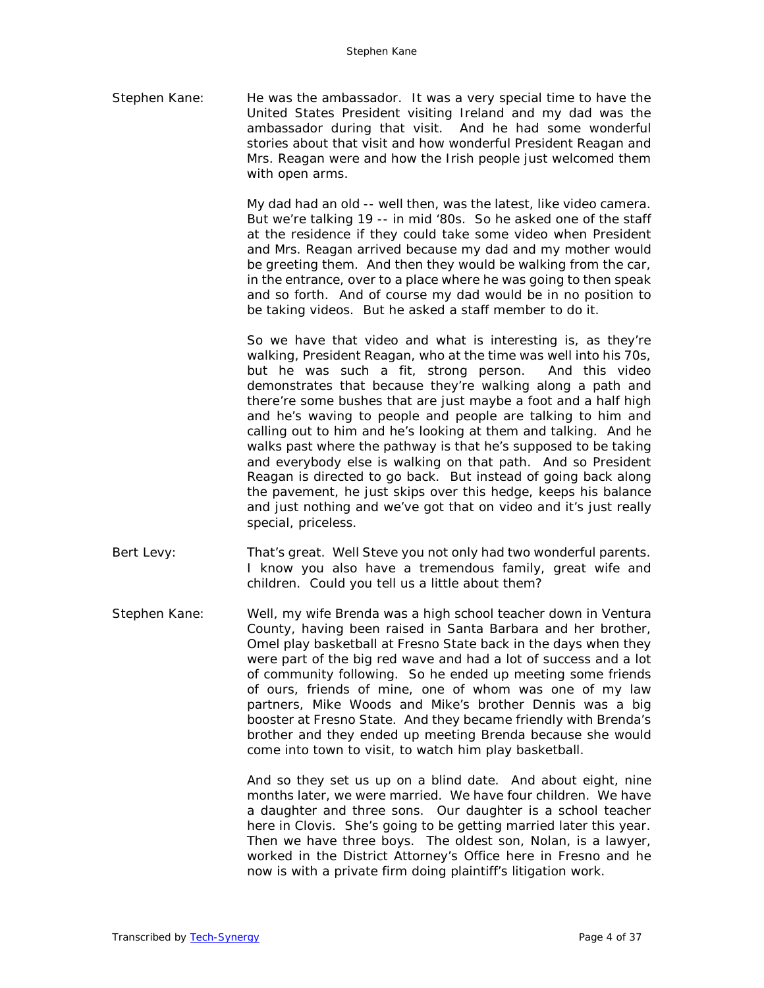Stephen Kane: He was the ambassador. It was a very special time to have the United States President visiting Ireland and my dad was the ambassador during that visit. And he had some wonderful stories about that visit and how wonderful President Reagan and Mrs. Reagan were and how the Irish people just welcomed them with open arms.

> My dad had an old -- well then, was the latest, like video camera. But we're talking 19 -- in mid '80s. So he asked one of the staff at the residence if they could take some video when President and Mrs. Reagan arrived because my dad and my mother would be greeting them. And then they would be walking from the car, in the entrance, over to a place where he was going to then speak and so forth. And of course my dad would be in no position to be taking videos. But he asked a staff member to do it.

> So we have that video and what is interesting is, as they're walking, President Reagan, who at the time was well into his 70s, but he was such a fit, strong person. And this video demonstrates that because they're walking along a path and there're some bushes that are just maybe a foot and a half high and he's waving to people and people are talking to him and calling out to him and he's looking at them and talking. And he walks past where the pathway is that he's supposed to be taking and everybody else is walking on that path. And so President Reagan is directed to go back. But instead of going back along the pavement, he just skips over this hedge, keeps his balance and just nothing and we've got that on video and it's just really special, priceless.

- Bert Levy: That's great. Well Steve you not only had two wonderful parents. I know you also have a tremendous family, great wife and children. Could you tell us a little about them?
- Stephen Kane: Well, my wife Brenda was a high school teacher down in Ventura County, having been raised in Santa Barbara and her brother, Omel play basketball at Fresno State back in the days when they were part of the big red wave and had a lot of success and a lot of community following. So he ended up meeting some friends of ours, friends of mine, one of whom was one of my law partners, Mike Woods and Mike's brother Dennis was a big booster at Fresno State. And they became friendly with Brenda's brother and they ended up meeting Brenda because she would come into town to visit, to watch him play basketball.

And so they set us up on a blind date. And about eight, nine months later, we were married. We have four children. We have a daughter and three sons. Our daughter is a school teacher here in Clovis. She's going to be getting married later this year. Then we have three boys. The oldest son, Nolan, is a lawyer, worked in the District Attorney's Office here in Fresno and he now is with a private firm doing plaintiff's litigation work.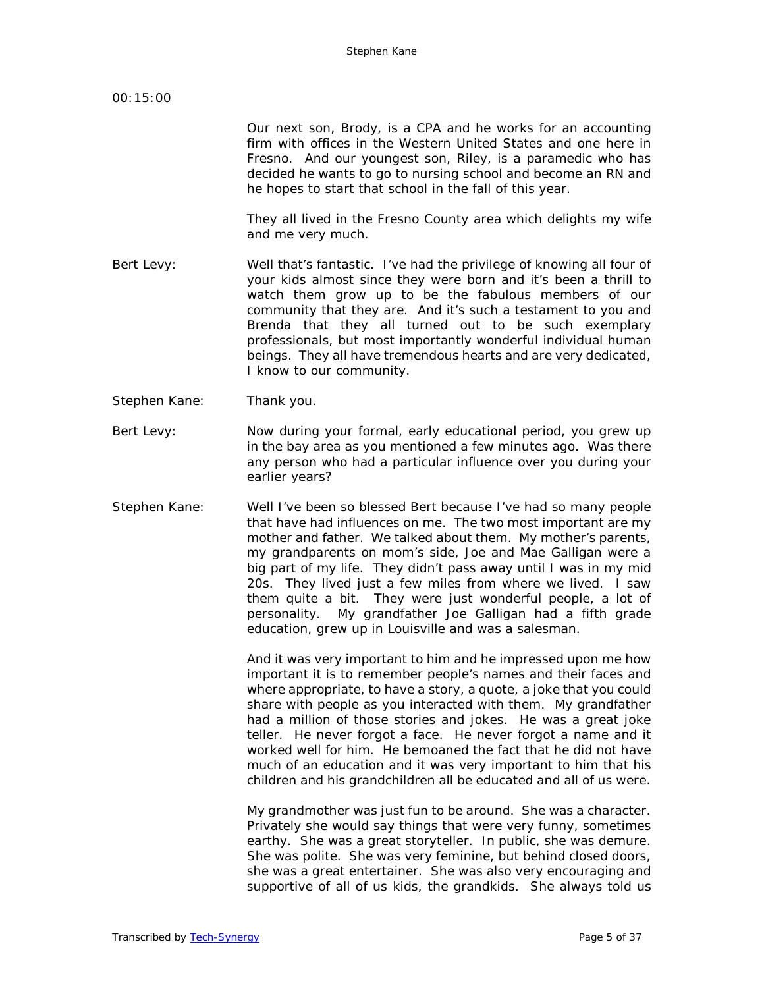Our next son, Brody, is a CPA and he works for an accounting firm with offices in the Western United States and one here in Fresno. And our youngest son, Riley, is a paramedic who has decided he wants to go to nursing school and become an RN and he hopes to start that school in the fall of this year.

They all lived in the Fresno County area which delights my wife and me very much.

- Bert Levy: Well that's fantastic. I've had the privilege of knowing all four of your kids almost since they were born and it's been a thrill to watch them grow up to be the fabulous members of our community that they are. And it's such a testament to you and Brenda that they all turned out to be such exemplary professionals, but most importantly wonderful individual human beings. They all have tremendous hearts and are very dedicated, I know to our community.
- Stephen Kane: Thank you.
- Bert Levy: Now during your formal, early educational period, you grew up in the bay area as you mentioned a few minutes ago. Was there any person who had a particular influence over you during your earlier years?
- Stephen Kane: Well I've been so blessed Bert because I've had so many people that have had influences on me. The two most important are my mother and father. We talked about them. My mother's parents, my grandparents on mom's side, Joe and Mae Galligan were a big part of my life. They didn't pass away until I was in my mid 20s. They lived just a few miles from where we lived. I saw them quite a bit. They were just wonderful people, a lot of personality. My grandfather Joe Galligan had a fifth grade education, grew up in Louisville and was a salesman.

And it was very important to him and he impressed upon me how important it is to remember people's names and their faces and where appropriate, to have a story, a quote, a joke that you could share with people as you interacted with them. My grandfather had a million of those stories and jokes. He was a great joke teller. He never forgot a face. He never forgot a name and it worked well for him. He bemoaned the fact that he did not have much of an education and it was very important to him that his children and his grandchildren all be educated and all of us were.

My grandmother was just fun to be around. She was a character. Privately she would say things that were very funny, sometimes earthy. She was a great storyteller. In public, she was demure. She was polite. She was very feminine, but behind closed doors, she was a great entertainer. She was also very encouraging and supportive of all of us kids, the grandkids. She always told us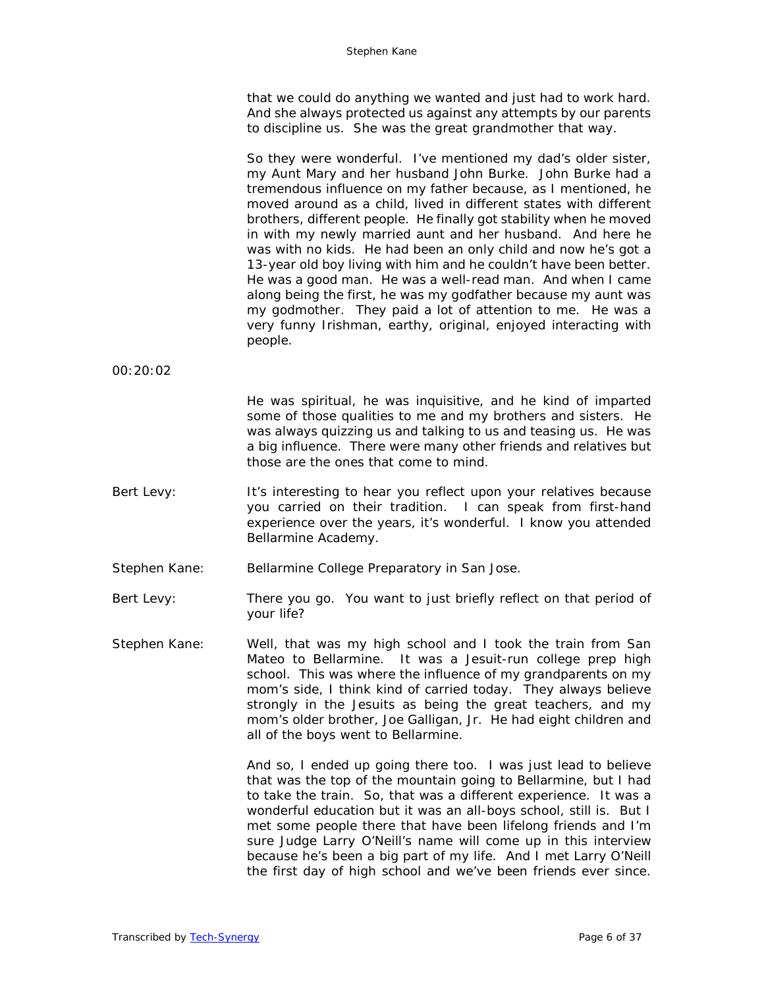that we could do anything we wanted and just had to work hard. And she always protected us against any attempts by our parents to discipline us. She was the great grandmother that way.

So they were wonderful. I've mentioned my dad's older sister, my Aunt Mary and her husband John Burke. John Burke had a tremendous influence on my father because, as I mentioned, he moved around as a child, lived in different states with different brothers, different people. He finally got stability when he moved in with my newly married aunt and her husband. And here he was with no kids. He had been an only child and now he's got a 13-year old boy living with him and he couldn't have been better. He was a good man. He was a well-read man. And when I came along being the first, he was my godfather because my aunt was my godmother. They paid a lot of attention to me. He was a very funny Irishman, earthy, original, enjoyed interacting with people.

00:20:02

He was spiritual, he was inquisitive, and he kind of imparted some of those qualities to me and my brothers and sisters. He was always quizzing us and talking to us and teasing us. He was a big influence. There were many other friends and relatives but those are the ones that come to mind.

- Bert Levy: It's interesting to hear you reflect upon your relatives because you carried on their tradition. I can speak from first-hand experience over the years, it's wonderful. I know you attended Bellarmine Academy.
- Stephen Kane: Bellarmine College Preparatory in San Jose.

Bert Levy: There you go. You want to just briefly reflect on that period of your life?

Stephen Kane: Well, that was my high school and I took the train from San Mateo to Bellarmine. It was a Jesuit-run college prep high school. This was where the influence of my grandparents on my mom's side, I think kind of carried today. They always believe strongly in the Jesuits as being the great teachers, and my mom's older brother, Joe Galligan, Jr. He had eight children and all of the boys went to Bellarmine.

> And so, I ended up going there too. I was just lead to believe that was the top of the mountain going to Bellarmine, but I had to take the train. So, that was a different experience. It was a wonderful education but it was an all-boys school, still is. But I met some people there that have been lifelong friends and I'm sure Judge Larry O'Neill's name will come up in this interview because he's been a big part of my life. And I met Larry O'Neill the first day of high school and we've been friends ever since.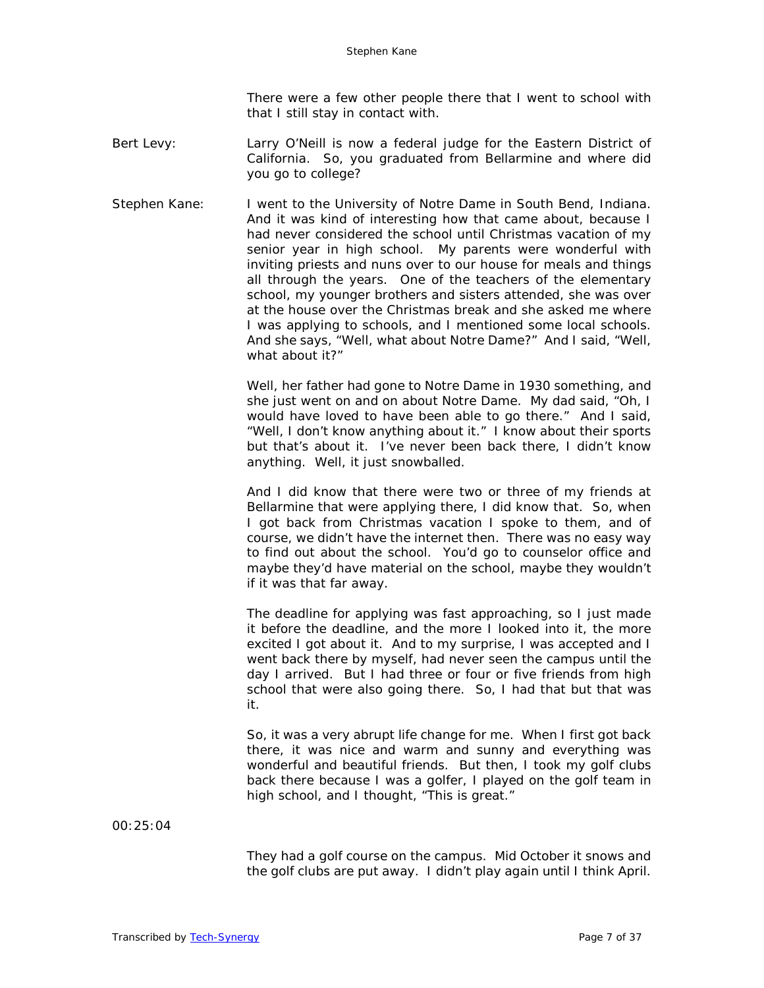There were a few other people there that I went to school with that I still stay in contact with.

- Bert Levy: Larry O'Neill is now a federal judge for the Eastern District of California. So, you graduated from Bellarmine and where did you go to college?
- Stephen Kane: I went to the University of Notre Dame in South Bend, Indiana. And it was kind of interesting how that came about, because I had never considered the school until Christmas vacation of my senior year in high school. My parents were wonderful with inviting priests and nuns over to our house for meals and things all through the years. One of the teachers of the elementary school, my younger brothers and sisters attended, she was over at the house over the Christmas break and she asked me where I was applying to schools, and I mentioned some local schools. And she says, "Well, what about Notre Dame?" And I said, "Well, what about it?"

Well, her father had gone to Notre Dame in 1930 something, and she just went on and on about Notre Dame. My dad said, "Oh, I would have loved to have been able to go there." And I said, "Well, I don't know anything about it." I know about their sports but that's about it. I've never been back there, I didn't know anything. Well, it just snowballed.

And I did know that there were two or three of my friends at Bellarmine that were applying there, I did know that. So, when I got back from Christmas vacation I spoke to them, and of course, we didn't have the internet then. There was no easy way to find out about the school. You'd go to counselor office and maybe they'd have material on the school, maybe they wouldn't if it was that far away.

The deadline for applying was fast approaching, so I just made it before the deadline, and the more I looked into it, the more excited I got about it. And to my surprise, I was accepted and I went back there by myself, had never seen the campus until the day I arrived. But I had three or four or five friends from high school that were also going there. So, I had that but that was it.

So, it was a very abrupt life change for me. When I first got back there, it was nice and warm and sunny and everything was wonderful and beautiful friends. But then, I took my golf clubs back there because I was a golfer, I played on the golf team in high school, and I thought, "This is great."

00:25:04

They had a golf course on the campus. Mid October it snows and the golf clubs are put away. I didn't play again until I think April.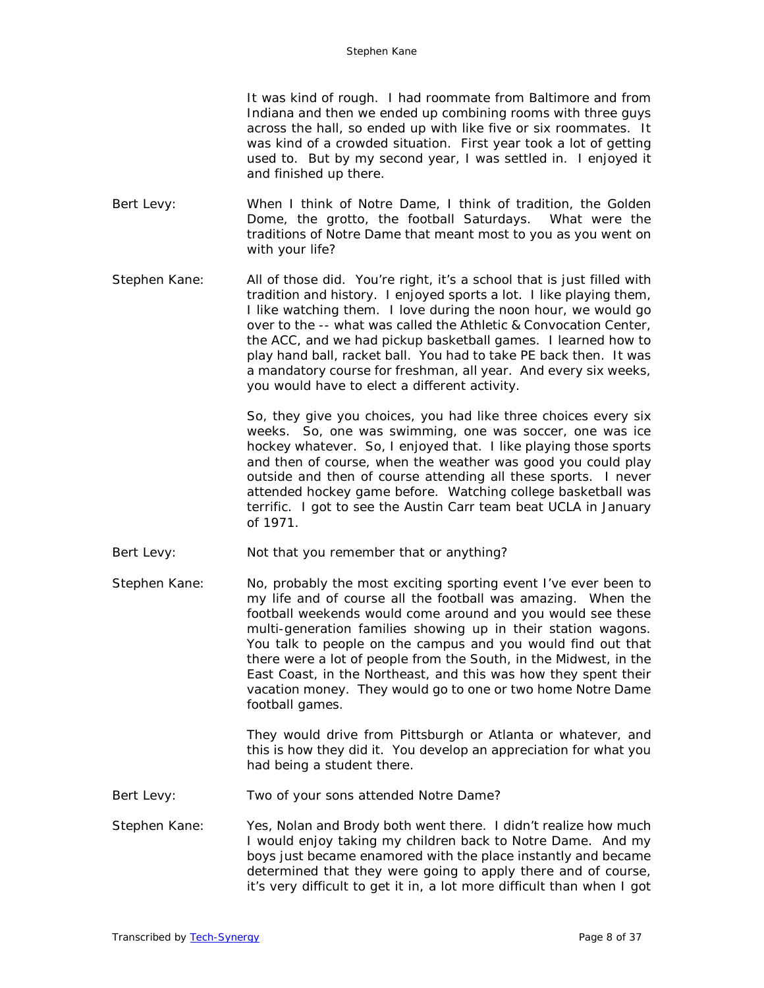It was kind of rough. I had roommate from Baltimore and from Indiana and then we ended up combining rooms with three guys across the hall, so ended up with like five or six roommates. It was kind of a crowded situation. First year took a lot of getting used to. But by my second year, I was settled in. I enjoyed it and finished up there.

- Bert Levy: When I think of Notre Dame, I think of tradition, the Golden Dome, the grotto, the football Saturdays. What were the traditions of Notre Dame that meant most to you as you went on with your life?
- Stephen Kane: All of those did. You're right, it's a school that is just filled with tradition and history. I enjoyed sports a lot. I like playing them, I like watching them. I love during the noon hour, we would go over to the -- what was called the Athletic & Convocation Center, the ACC, and we had pickup basketball games. I learned how to play hand ball, racket ball. You had to take PE back then. It was a mandatory course for freshman, all year. And every six weeks, you would have to elect a different activity.

So, they give you choices, you had like three choices every six weeks. So, one was swimming, one was soccer, one was ice hockey whatever. So, I enjoyed that. I like playing those sports and then of course, when the weather was good you could play outside and then of course attending all these sports. I never attended hockey game before. Watching college basketball was terrific. I got to see the Austin Carr team beat UCLA in January of 1971.

- Bert Levy: Not that you remember that or anything?
- Stephen Kane: No, probably the most exciting sporting event I've ever been to my life and of course all the football was amazing. When the football weekends would come around and you would see these multi-generation families showing up in their station wagons. You talk to people on the campus and you would find out that there were a lot of people from the South, in the Midwest, in the East Coast, in the Northeast, and this was how they spent their vacation money. They would go to one or two home Notre Dame football games.

They would drive from Pittsburgh or Atlanta or whatever, and this is how they did it. You develop an appreciation for what you had being a student there.

- Bert Levy: Two of your sons attended Notre Dame?
- Stephen Kane: Yes, Nolan and Brody both went there. I didn't realize how much I would enjoy taking my children back to Notre Dame. And my boys just became enamored with the place instantly and became determined that they were going to apply there and of course, it's very difficult to get it in, a lot more difficult than when I got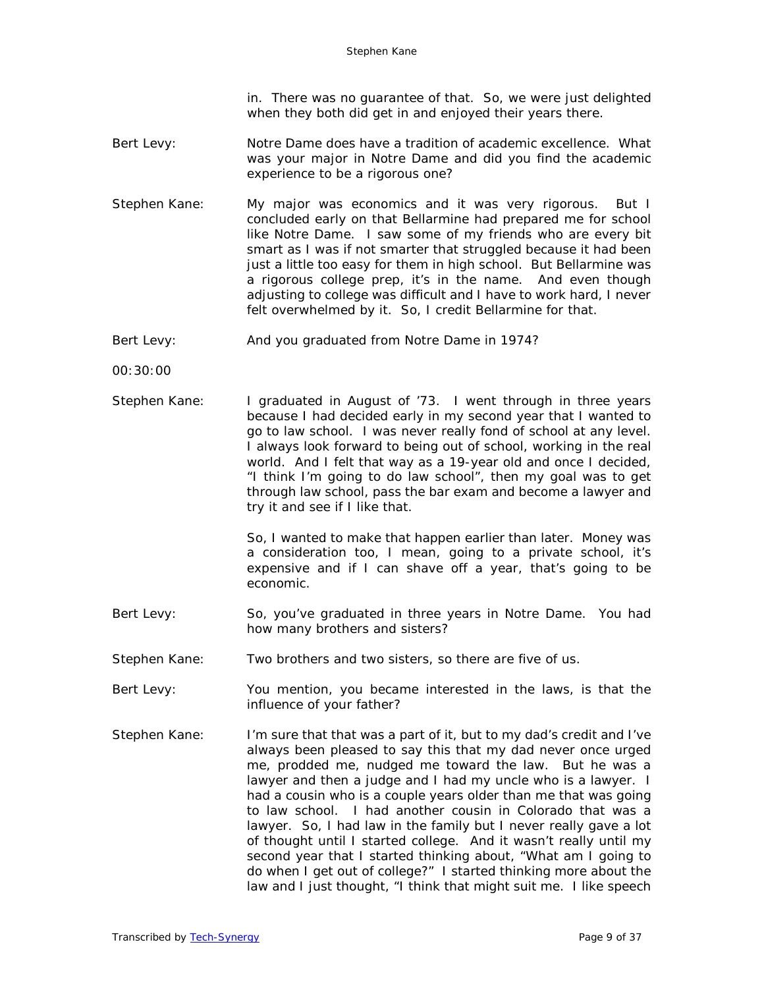in. There was no guarantee of that. So, we were just delighted when they both did get in and enjoyed their years there.

- Bert Levy: Notre Dame does have a tradition of academic excellence. What was your major in Notre Dame and did you find the academic experience to be a rigorous one?
- Stephen Kane: My major was economics and it was very rigorous. But I concluded early on that Bellarmine had prepared me for school like Notre Dame. I saw some of my friends who are every bit smart as I was if not smarter that struggled because it had been just a little too easy for them in high school. But Bellarmine was a rigorous college prep, it's in the name. And even though adjusting to college was difficult and I have to work hard, I never felt overwhelmed by it. So, I credit Bellarmine for that.
- Bert Levy: And you graduated from Notre Dame in 1974?

00:30:00

Stephen Kane: I graduated in August of '73. I went through in three years because I had decided early in my second year that I wanted to go to law school. I was never really fond of school at any level. I always look forward to being out of school, working in the real world. And I felt that way as a 19-year old and once I decided, "I think I'm going to do law school", then my goal was to get through law school, pass the bar exam and become a lawyer and try it and see if I like that.

> So, I wanted to make that happen earlier than later. Money was a consideration too, I mean, going to a private school, it's expensive and if I can shave off a year, that's going to be economic.

- Bert Levy: So, you've graduated in three years in Notre Dame. You had how many brothers and sisters?
- Stephen Kane: Two brothers and two sisters, so there are five of us.
- Bert Levy: You mention, you became interested in the laws, is that the influence of your father?
- Stephen Kane: I'm sure that that was a part of it, but to my dad's credit and I've always been pleased to say this that my dad never once urged me, prodded me, nudged me toward the law. But he was a lawyer and then a judge and I had my uncle who is a lawyer. I had a cousin who is a couple years older than me that was going to law school. I had another cousin in Colorado that was a lawyer. So, I had law in the family but I never really gave a lot of thought until I started college. And it wasn't really until my second year that I started thinking about, "What am I going to do when I get out of college?" I started thinking more about the law and I just thought, "I think that might suit me. I like speech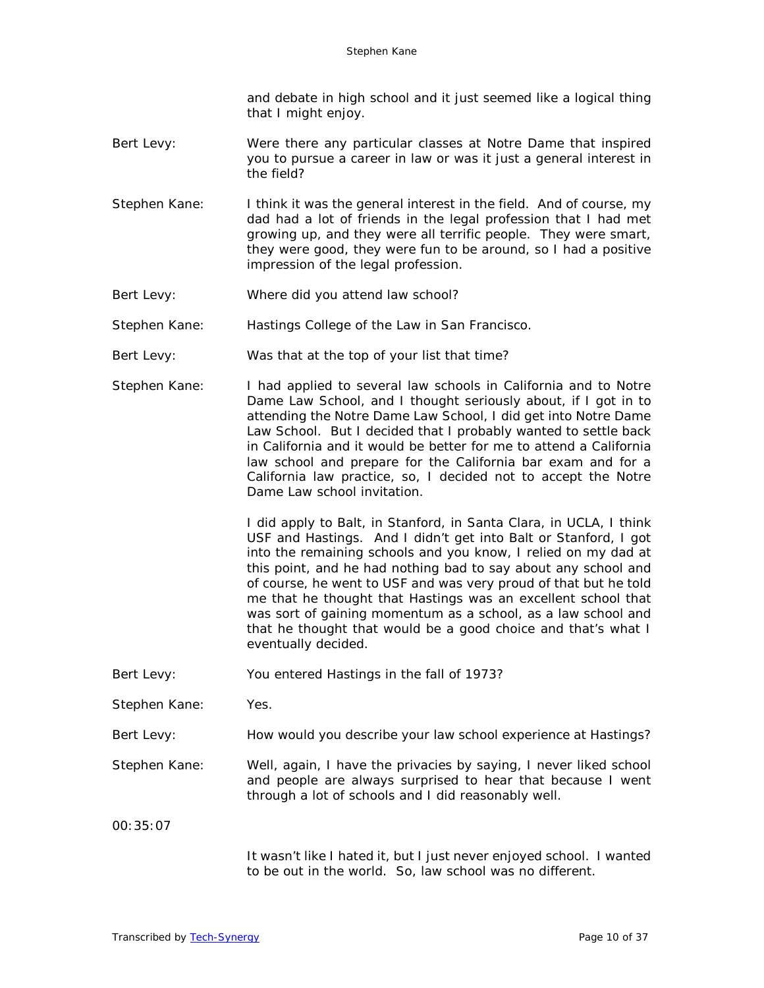and debate in high school and it just seemed like a logical thing that I might enjoy.

- Bert Levy: Were there any particular classes at Notre Dame that inspired you to pursue a career in law or was it just a general interest in the field?
- Stephen Kane: I think it was the general interest in the field. And of course, my dad had a lot of friends in the legal profession that I had met growing up, and they were all terrific people. They were smart, they were good, they were fun to be around, so I had a positive impression of the legal profession.
- Bert Levy: Where did you attend law school?
- Stephen Kane: Hastings College of the Law in San Francisco.
- Bert Levy: Was that at the top of your list that time?
- Stephen Kane: I had applied to several law schools in California and to Notre Dame Law School, and I thought seriously about, if I got in to attending the Notre Dame Law School, I did get into Notre Dame Law School. But I decided that I probably wanted to settle back in California and it would be better for me to attend a California law school and prepare for the California bar exam and for a California law practice, so, I decided not to accept the Notre Dame Law school invitation.

I did apply to Balt, in Stanford, in Santa Clara, in UCLA, I think USF and Hastings. And I didn't get into Balt or Stanford, I got into the remaining schools and you know, I relied on my dad at this point, and he had nothing bad to say about any school and of course, he went to USF and was very proud of that but he told me that he thought that Hastings was an excellent school that was sort of gaining momentum as a school, as a law school and that he thought that would be a good choice and that's what I eventually decided.

- Bert Levy: You entered Hastings in the fall of 1973?
- Stephen Kane: Yes.

Bert Levy: How would you describe your law school experience at Hastings?

Stephen Kane: Well, again, I have the privacies by saying, I never liked school and people are always surprised to hear that because I went through a lot of schools and I did reasonably well.

00:35:07

It wasn't like I hated it, but I just never enjoyed school. I wanted to be out in the world. So, law school was no different.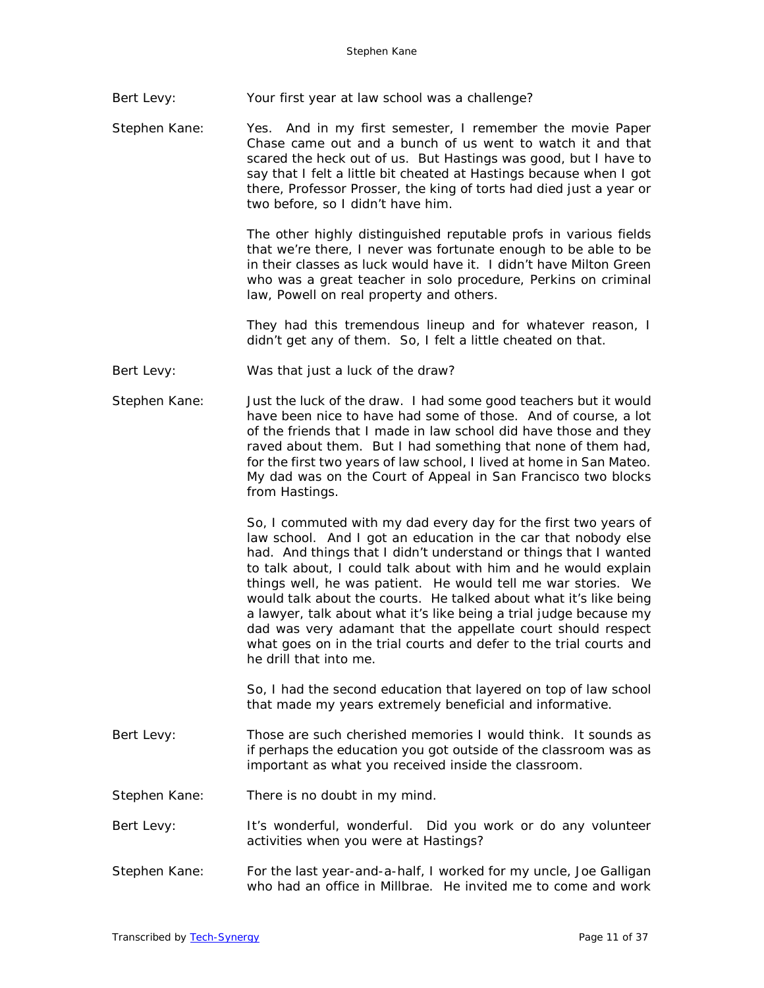Bert Levy: Your first year at law school was a challenge?

Stephen Kane: Yes. And in my first semester, I remember the movie Paper Chase came out and a bunch of us went to watch it and that scared the heck out of us. But Hastings was good, but I have to say that I felt a little bit cheated at Hastings because when I got there, Professor Prosser, the king of torts had died just a year or two before, so I didn't have him.

> The other highly distinguished reputable profs in various fields that we're there, I never was fortunate enough to be able to be in their classes as luck would have it. I didn't have Milton Green who was a great teacher in solo procedure, Perkins on criminal law, Powell on real property and others.

> They had this tremendous lineup and for whatever reason, I didn't get any of them. So, I felt a little cheated on that.

- Bert Levy: Was that just a luck of the draw?
- Stephen Kane: Just the luck of the draw. I had some good teachers but it would have been nice to have had some of those. And of course, a lot of the friends that I made in law school did have those and they raved about them. But I had something that none of them had, for the first two years of law school, I lived at home in San Mateo. My dad was on the Court of Appeal in San Francisco two blocks from Hastings.

So, I commuted with my dad every day for the first two years of law school. And I got an education in the car that nobody else had. And things that I didn't understand or things that I wanted to talk about, I could talk about with him and he would explain things well, he was patient. He would tell me war stories. We would talk about the courts. He talked about what it's like being a lawyer, talk about what it's like being a trial judge because my dad was very adamant that the appellate court should respect what goes on in the trial courts and defer to the trial courts and he drill that into me.

So, I had the second education that layered on top of law school that made my years extremely beneficial and informative.

- Bert Levy: Those are such cherished memories I would think. It sounds as if perhaps the education you got outside of the classroom was as important as what you received inside the classroom.
- Stephen Kane: There is no doubt in my mind.
- Bert Levy: It's wonderful, wonderful. Did you work or do any volunteer activities when you were at Hastings?
- Stephen Kane: For the last year-and-a-half, I worked for my uncle, Joe Galligan who had an office in Millbrae. He invited me to come and work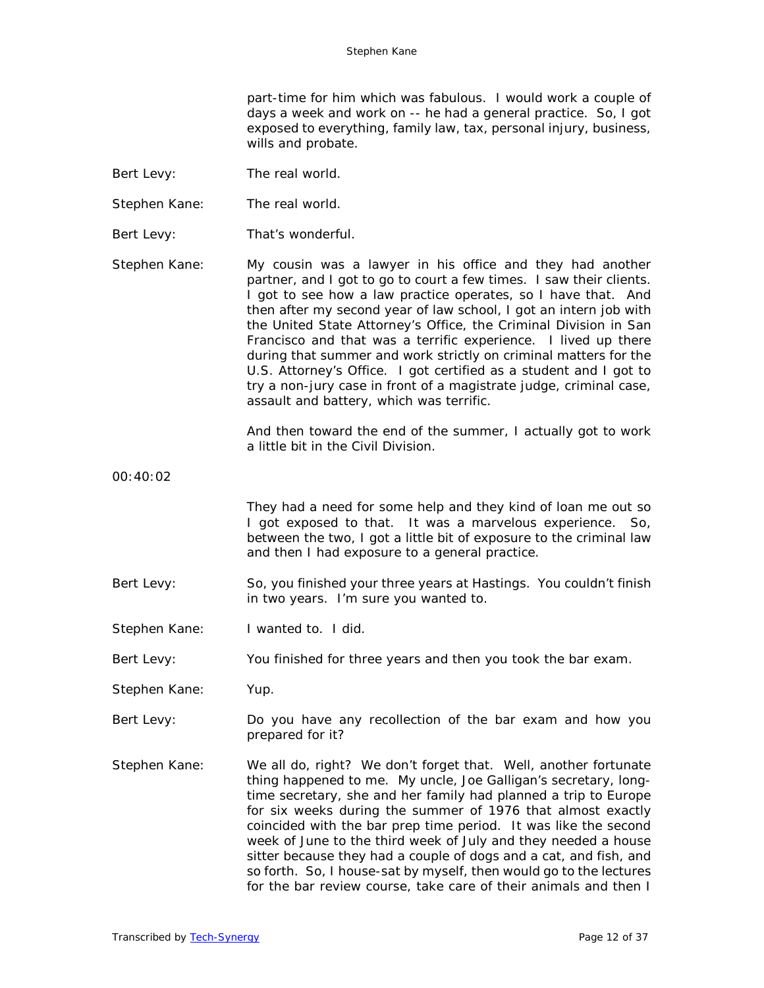part-time for him which was fabulous. I would work a couple of days a week and work on -- he had a general practice. So, I got exposed to everything, family law, tax, personal injury, business, wills and probate.

- Bert Levy: The real world.
- Stephen Kane: The real world.
- Bert Levy: That's wonderful.

Stephen Kane: My cousin was a lawyer in his office and they had another partner, and I got to go to court a few times. I saw their clients. I got to see how a law practice operates, so I have that. And then after my second year of law school, I got an intern job with the United State Attorney's Office, the Criminal Division in San Francisco and that was a terrific experience. I lived up there during that summer and work strictly on criminal matters for the U.S. Attorney's Office. I got certified as a student and I got to try a non-jury case in front of a magistrate judge, criminal case, assault and battery, which was terrific.

> And then toward the end of the summer, I actually got to work a little bit in the Civil Division.

00:40:02

They had a need for some help and they kind of loan me out so I got exposed to that. It was a marvelous experience. So, between the two, I got a little bit of exposure to the criminal law and then I had exposure to a general practice.

- Bert Levy: So, you finished your three years at Hastings. You couldn't finish in two years. I'm sure you wanted to.
- Stephen Kane: I wanted to. I did.

Bert Levy: You finished for three years and then you took the bar exam.

- Stephen Kane: Yup.
- Bert Levy: Do you have any recollection of the bar exam and how you prepared for it?
- Stephen Kane: We all do, right? We don't forget that. Well, another fortunate thing happened to me. My uncle, Joe Galligan's secretary, longtime secretary, she and her family had planned a trip to Europe for six weeks during the summer of 1976 that almost exactly coincided with the bar prep time period. It was like the second week of June to the third week of July and they needed a house sitter because they had a couple of dogs and a cat, and fish, and so forth. So, I house-sat by myself, then would go to the lectures for the bar review course, take care of their animals and then I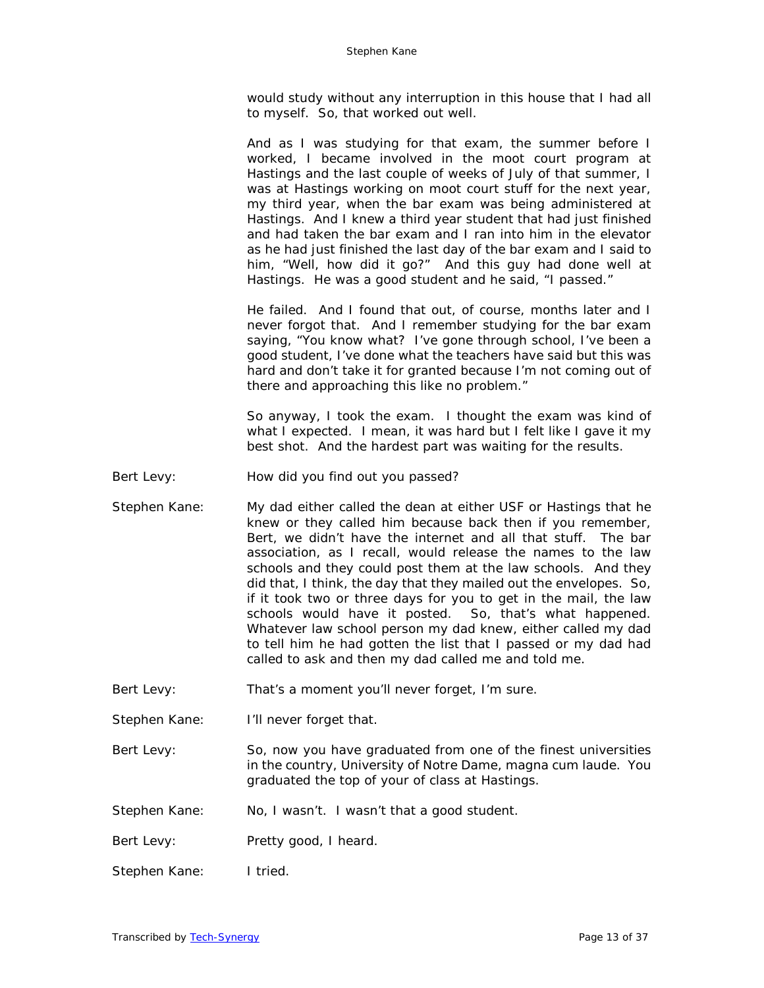would study without any interruption in this house that I had all to myself. So, that worked out well.

And as I was studying for that exam, the summer before I worked, I became involved in the moot court program at Hastings and the last couple of weeks of July of that summer, I was at Hastings working on moot court stuff for the next year, my third year, when the bar exam was being administered at Hastings. And I knew a third year student that had just finished and had taken the bar exam and I ran into him in the elevator as he had just finished the last day of the bar exam and I said to him, "Well, how did it go?" And this guy had done well at Hastings. He was a good student and he said, "I passed."

He failed. And I found that out, of course, months later and I never forgot that. And I remember studying for the bar exam saying, "You know what? I've gone through school, I've been a good student, I've done what the teachers have said but this was hard and don't take it for granted because I'm not coming out of there and approaching this like no problem."

So anyway, I took the exam. I thought the exam was kind of what I expected. I mean, it was hard but I felt like I gave it my best shot. And the hardest part was waiting for the results.

- Bert Levy: How did you find out you passed?
- Stephen Kane: My dad either called the dean at either USF or Hastings that he knew or they called him because back then if you remember, Bert, we didn't have the internet and all that stuff. The bar association, as I recall, would release the names to the law schools and they could post them at the law schools. And they did that, I think, the day that they mailed out the envelopes. So, if it took two or three days for you to get in the mail, the law schools would have it posted. So, that's what happened. Whatever law school person my dad knew, either called my dad to tell him he had gotten the list that I passed or my dad had called to ask and then my dad called me and told me.
- Bert Levy: That's a moment you'll never forget, I'm sure.

Stephen Kane: I'll never forget that.

- Bert Levy: So, now you have graduated from one of the finest universities in the country, University of Notre Dame, magna cum laude. You graduated the top of your of class at Hastings.
- Stephen Kane: No, I wasn't. I wasn't that a good student.
- Bert Levy: Pretty good, I heard.
- Stephen Kane: I tried.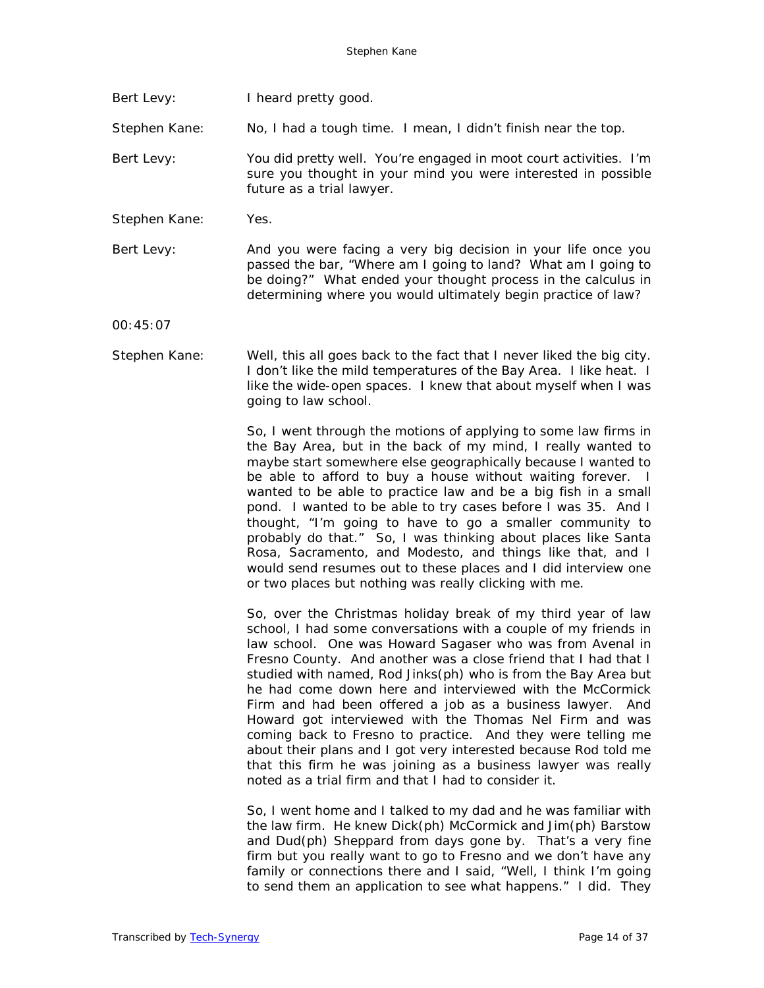Bert Levy: I heard pretty good.

Stephen Kane: No, I had a tough time. I mean, I didn't finish near the top.

- Bert Levy: You did pretty well. You're engaged in moot court activities. I'm sure you thought in your mind you were interested in possible future as a trial lawyer.
- Stephen Kane: Yes.
- Bert Levy: And you were facing a very big decision in your life once you passed the bar, "Where am I going to land? What am I going to be doing?" What ended your thought process in the calculus in determining where you would ultimately begin practice of law?

00:45:07

Stephen Kane: Well, this all goes back to the fact that I never liked the big city. I don't like the mild temperatures of the Bay Area. I like heat. I like the wide-open spaces. I knew that about myself when I was going to law school.

> So, I went through the motions of applying to some law firms in the Bay Area, but in the back of my mind, I really wanted to maybe start somewhere else geographically because I wanted to be able to afford to buy a house without waiting forever. I wanted to be able to practice law and be a big fish in a small pond. I wanted to be able to try cases before I was 35. And I thought, "I'm going to have to go a smaller community to probably do that." So, I was thinking about places like Santa Rosa, Sacramento, and Modesto, and things like that, and I would send resumes out to these places and I did interview one or two places but nothing was really clicking with me.

> So, over the Christmas holiday break of my third year of law school, I had some conversations with a couple of my friends in law school. One was Howard Sagaser who was from Avenal in Fresno County. And another was a close friend that I had that I studied with named, Rod Jinks(ph) who is from the Bay Area but he had come down here and interviewed with the McCormick Firm and had been offered a job as a business lawyer. And Howard got interviewed with the Thomas Nel Firm and was coming back to Fresno to practice. And they were telling me about their plans and I got very interested because Rod told me that this firm he was joining as a business lawyer was really noted as a trial firm and that I had to consider it.

> So, I went home and I talked to my dad and he was familiar with the law firm. He knew Dick(ph) McCormick and Jim(ph) Barstow and Dud(ph) Sheppard from days gone by. That's a very fine firm but you really want to go to Fresno and we don't have any family or connections there and I said, "Well, I think I'm going to send them an application to see what happens." I did. They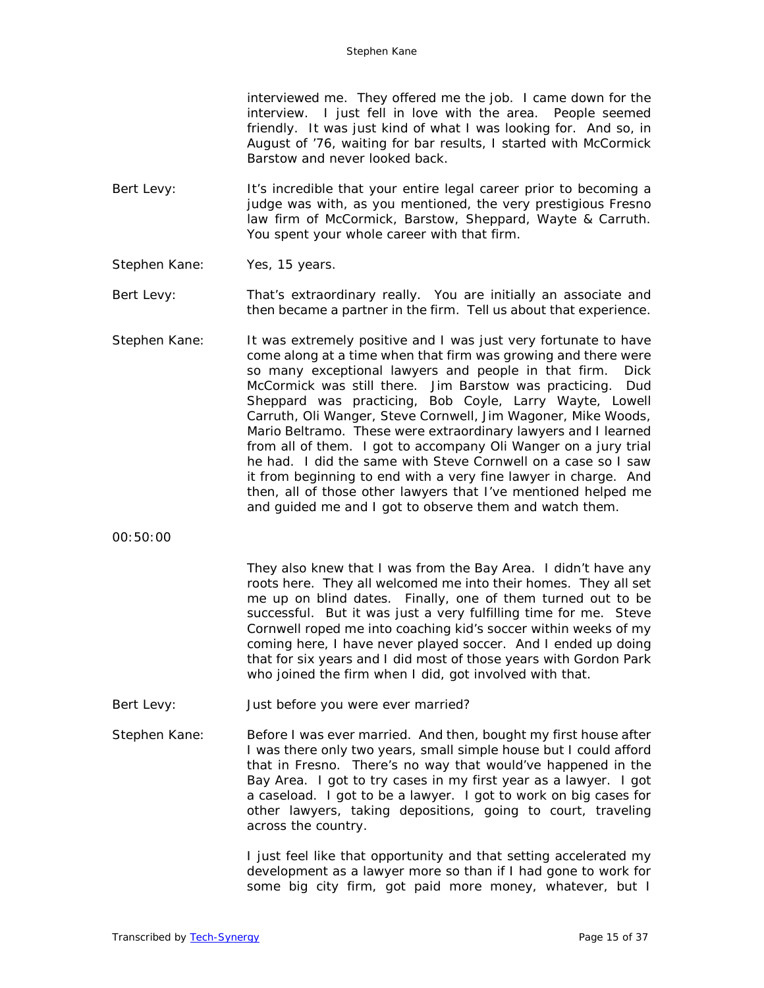interviewed me. They offered me the job. I came down for the interview. I just fell in love with the area. People seemed friendly. It was just kind of what I was looking for. And so, in August of '76, waiting for bar results, I started with McCormick Barstow and never looked back.

- Bert Levy: It's incredible that your entire legal career prior to becoming a judge was with, as you mentioned, the very prestigious Fresno law firm of McCormick, Barstow, Sheppard, Wayte & Carruth. You spent your whole career with that firm.
- Stephen Kane: Yes, 15 years.
- Bert Levy: That's extraordinary really. You are initially an associate and then became a partner in the firm. Tell us about that experience.
- Stephen Kane: It was extremely positive and I was just very fortunate to have come along at a time when that firm was growing and there were so many exceptional lawyers and people in that firm. Dick McCormick was still there. Jim Barstow was practicing. Dud Sheppard was practicing, Bob Coyle, Larry Wayte, Lowell Carruth, Oli Wanger, Steve Cornwell, Jim Wagoner, Mike Woods, Mario Beltramo. These were extraordinary lawyers and I learned from all of them. I got to accompany Oli Wanger on a jury trial he had. I did the same with Steve Cornwell on a case so I saw it from beginning to end with a very fine lawyer in charge. And then, all of those other lawyers that I've mentioned helped me and guided me and I got to observe them and watch them.
- 00:50:00

They also knew that I was from the Bay Area. I didn't have any roots here. They all welcomed me into their homes. They all set me up on blind dates. Finally, one of them turned out to be successful. But it was just a very fulfilling time for me. Steve Cornwell roped me into coaching kid's soccer within weeks of my coming here, I have never played soccer. And I ended up doing that for six years and I did most of those years with Gordon Park who joined the firm when I did, got involved with that.

Bert Levy: Just before you were ever married?

Stephen Kane: Before I was ever married. And then, bought my first house after I was there only two years, small simple house but I could afford that in Fresno. There's no way that would've happened in the Bay Area. I got to try cases in my first year as a lawyer. I got a caseload. I got to be a lawyer. I got to work on big cases for other lawyers, taking depositions, going to court, traveling across the country.

> I just feel like that opportunity and that setting accelerated my development as a lawyer more so than if I had gone to work for some big city firm, got paid more money, whatever, but I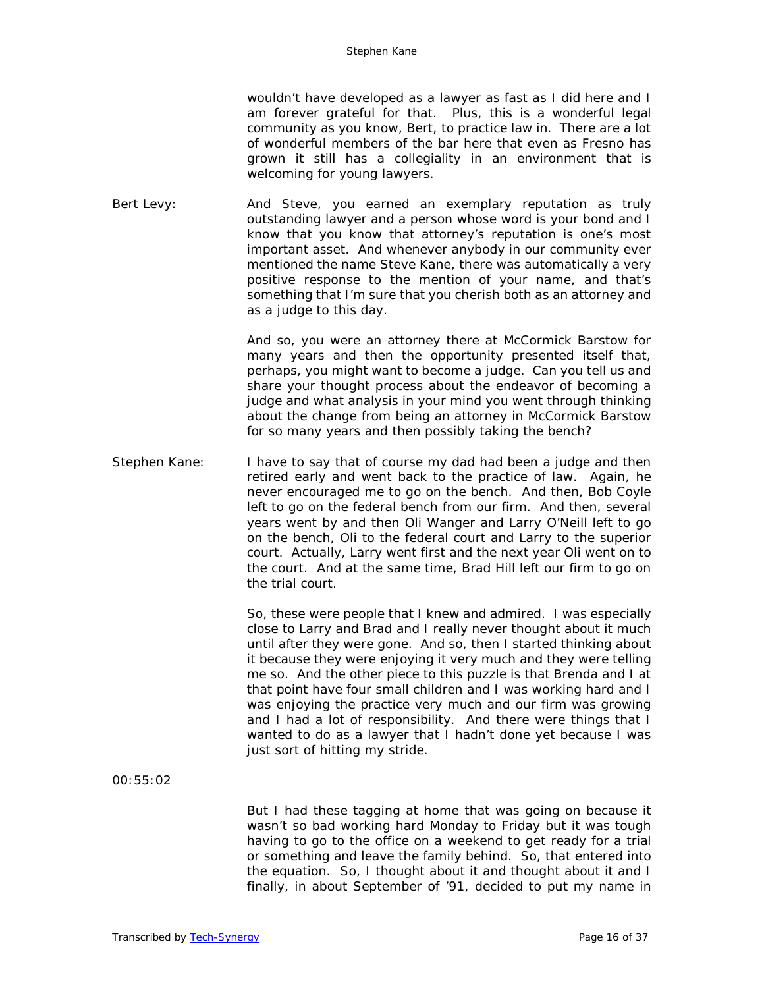wouldn't have developed as a lawyer as fast as I did here and I am forever grateful for that. Plus, this is a wonderful legal community as you know, Bert, to practice law in. There are a lot of wonderful members of the bar here that even as Fresno has grown it still has a collegiality in an environment that is welcoming for young lawyers.

Bert Levy: And Steve, you earned an exemplary reputation as truly outstanding lawyer and a person whose word is your bond and I know that you know that attorney's reputation is one's most important asset. And whenever anybody in our community ever mentioned the name Steve Kane, there was automatically a very positive response to the mention of your name, and that's something that I'm sure that you cherish both as an attorney and as a judge to this day.

> And so, you were an attorney there at McCormick Barstow for many years and then the opportunity presented itself that, perhaps, you might want to become a judge. Can you tell us and share your thought process about the endeavor of becoming a judge and what analysis in your mind you went through thinking about the change from being an attorney in McCormick Barstow for so many years and then possibly taking the bench?

Stephen Kane: I have to say that of course my dad had been a judge and then retired early and went back to the practice of law. Again, he never encouraged me to go on the bench. And then, Bob Coyle left to go on the federal bench from our firm. And then, several years went by and then Oli Wanger and Larry O'Neill left to go on the bench, Oli to the federal court and Larry to the superior court. Actually, Larry went first and the next year Oli went on to the court. And at the same time, Brad Hill left our firm to go on the trial court.

> So, these were people that I knew and admired. I was especially close to Larry and Brad and I really never thought about it much until after they were gone. And so, then I started thinking about it because they were enjoying it very much and they were telling me so. And the other piece to this puzzle is that Brenda and I at that point have four small children and I was working hard and I was enjoying the practice very much and our firm was growing and I had a lot of responsibility. And there were things that I wanted to do as a lawyer that I hadn't done yet because I was just sort of hitting my stride.

00:55:02

But I had these tagging at home that was going on because it wasn't so bad working hard Monday to Friday but it was tough having to go to the office on a weekend to get ready for a trial or something and leave the family behind. So, that entered into the equation. So, I thought about it and thought about it and I finally, in about September of '91, decided to put my name in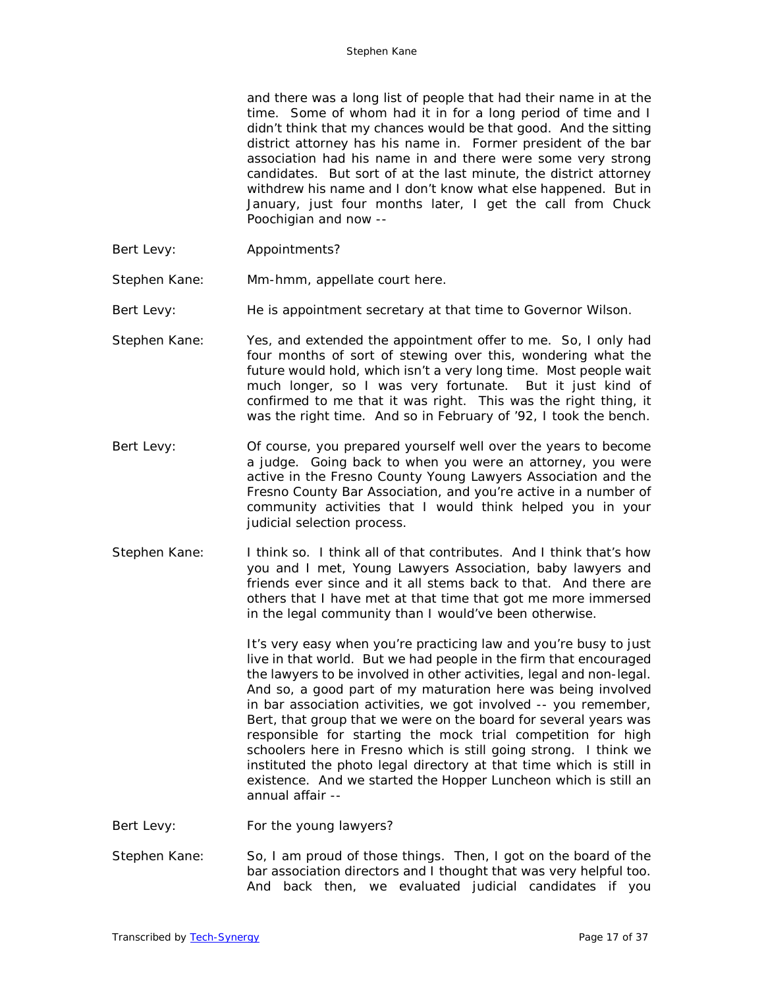and there was a long list of people that had their name in at the time. Some of whom had it in for a long period of time and I didn't think that my chances would be that good. And the sitting district attorney has his name in. Former president of the bar association had his name in and there were some very strong candidates. But sort of at the last minute, the district attorney withdrew his name and I don't know what else happened. But in January, just four months later, I get the call from Chuck Poochigian and now --

Bert Levy: Appointments?

Stephen Kane: Mm-hmm, appellate court here.

Bert Levy: He is appointment secretary at that time to Governor Wilson.

- Stephen Kane: Yes, and extended the appointment offer to me. So, I only had four months of sort of stewing over this, wondering what the future would hold, which isn't a very long time. Most people wait much longer, so I was very fortunate. But it just kind of confirmed to me that it was right. This was the right thing, it was the right time. And so in February of '92, I took the bench.
- Bert Levy: Of course, you prepared yourself well over the years to become a judge. Going back to when you were an attorney, you were active in the Fresno County Young Lawyers Association and the Fresno County Bar Association, and you're active in a number of community activities that I would think helped you in your judicial selection process.
- Stephen Kane: I think so. I think all of that contributes. And I think that's how you and I met, Young Lawyers Association, baby lawyers and friends ever since and it all stems back to that. And there are others that I have met at that time that got me more immersed in the legal community than I would've been otherwise.

It's very easy when you're practicing law and you're busy to just live in that world. But we had people in the firm that encouraged the lawyers to be involved in other activities, legal and non-legal. And so, a good part of my maturation here was being involved in bar association activities, we got involved -- you remember, Bert, that group that we were on the board for several years was responsible for starting the mock trial competition for high schoolers here in Fresno which is still going strong. I think we instituted the photo legal directory at that time which is still in existence. And we started the Hopper Luncheon which is still an annual affair --

- Bert Levy: For the young lawyers?
- Stephen Kane: So, I am proud of those things. Then, I got on the board of the bar association directors and I thought that was very helpful too. And back then, we evaluated judicial candidates if you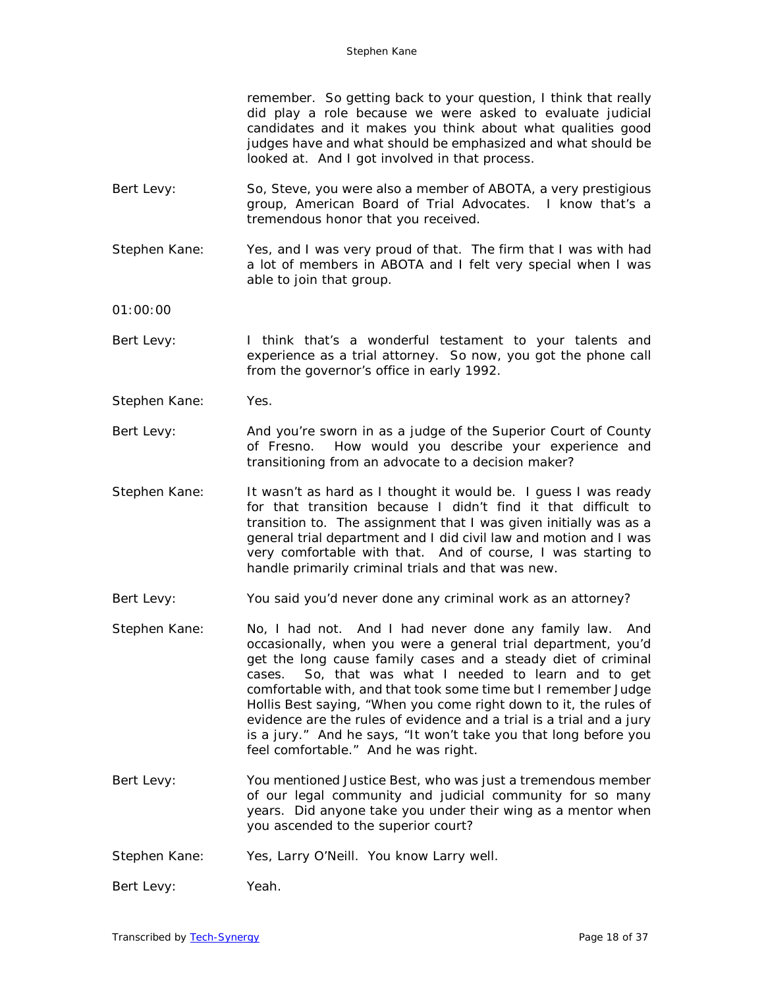remember. So getting back to your question, I think that really did play a role because we were asked to evaluate judicial candidates and it makes you think about what qualities good judges have and what should be emphasized and what should be looked at. And I got involved in that process.

- Bert Levy: So, Steve, you were also a member of ABOTA, a very prestigious group, American Board of Trial Advocates. I know that's a tremendous honor that you received.
- Stephen Kane: Yes, and I was very proud of that. The firm that I was with had a lot of members in ABOTA and I felt very special when I was able to join that group.
- 01:00:00
- Bert Levy: I think that's a wonderful testament to your talents and experience as a trial attorney. So now, you got the phone call from the governor's office in early 1992.
- Stephen Kane: Yes.
- Bert Levy: And you're sworn in as a judge of the Superior Court of County of Fresno. How would you describe your experience and transitioning from an advocate to a decision maker?
- Stephen Kane: It wasn't as hard as I thought it would be. I guess I was ready for that transition because I didn't find it that difficult to transition to. The assignment that I was given initially was as a general trial department and I did civil law and motion and I was very comfortable with that. And of course, I was starting to handle primarily criminal trials and that was new.
- Bert Levy: You said you'd never done any criminal work as an attorney?
- Stephen Kane: No, I had not. And I had never done any family law. And occasionally, when you were a general trial department, you'd get the long cause family cases and a steady diet of criminal cases. So, that was what I needed to learn and to get comfortable with, and that took some time but I remember Judge Hollis Best saying, "When you come right down to it, the rules of evidence are the rules of evidence and a trial is a trial and a jury is a jury." And he says, "It won't take you that long before you feel comfortable." And he was right.
- Bert Levy: You mentioned Justice Best, who was just a tremendous member of our legal community and judicial community for so many years. Did anyone take you under their wing as a mentor when you ascended to the superior court?
- Stephen Kane: Yes, Larry O'Neill. You know Larry well.
- Bert Levy: Yeah.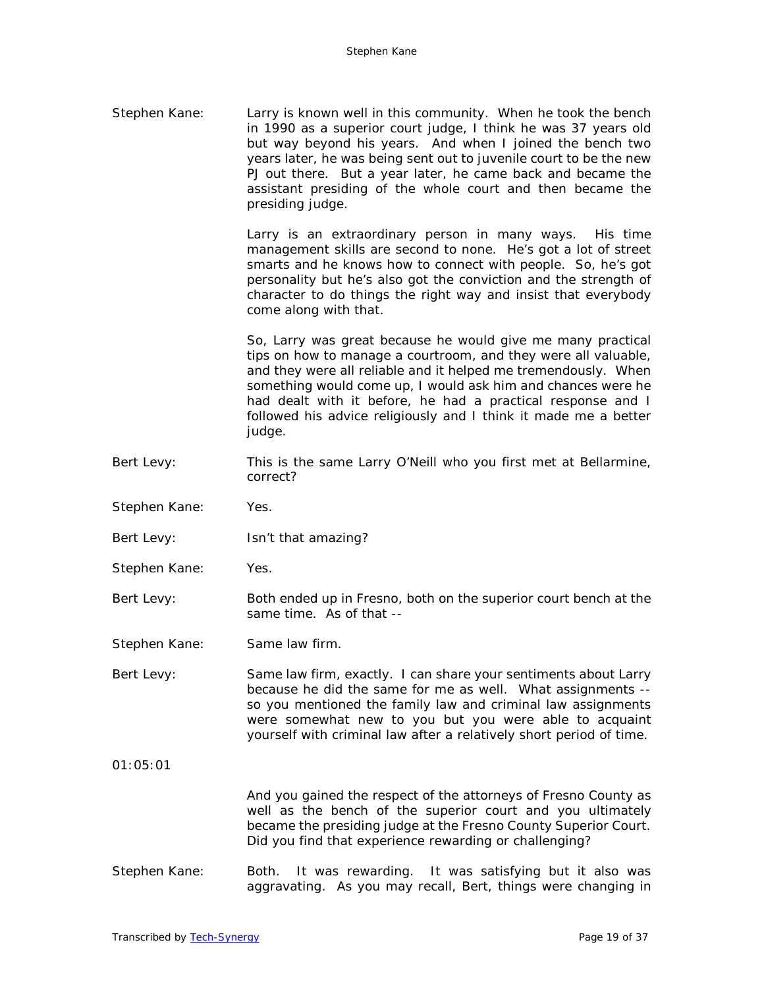Stephen Kane: Larry is known well in this community. When he took the bench in 1990 as a superior court judge, I think he was 37 years old but way beyond his years. And when I joined the bench two years later, he was being sent out to juvenile court to be the new PJ out there. But a year later, he came back and became the assistant presiding of the whole court and then became the presiding judge.

> Larry is an extraordinary person in many ways. His time management skills are second to none. He's got a lot of street smarts and he knows how to connect with people. So, he's got personality but he's also got the conviction and the strength of character to do things the right way and insist that everybody come along with that.

> So, Larry was great because he would give me many practical tips on how to manage a courtroom, and they were all valuable, and they were all reliable and it helped me tremendously. When something would come up, I would ask him and chances were he had dealt with it before, he had a practical response and I followed his advice religiously and I think it made me a better judge.

- Bert Levy: This is the same Larry O'Neill who you first met at Bellarmine, correct?
- Stephen Kane: Yes.
- Bert Levy: Isn't that amazing?
- Stephen Kane: Yes.
- Bert Levy: Both ended up in Fresno, both on the superior court bench at the same time. As of that --

Stephen Kane: Same law firm.

Bert Levy: Same law firm, exactly. I can share your sentiments about Larry because he did the same for me as well. What assignments - so you mentioned the family law and criminal law assignments were somewhat new to you but you were able to acquaint yourself with criminal law after a relatively short period of time.

 $01.05:01$ 

And you gained the respect of the attorneys of Fresno County as well as the bench of the superior court and you ultimately became the presiding judge at the Fresno County Superior Court. Did you find that experience rewarding or challenging?

Stephen Kane: Both. It was rewarding. It was satisfying but it also was aggravating. As you may recall, Bert, things were changing in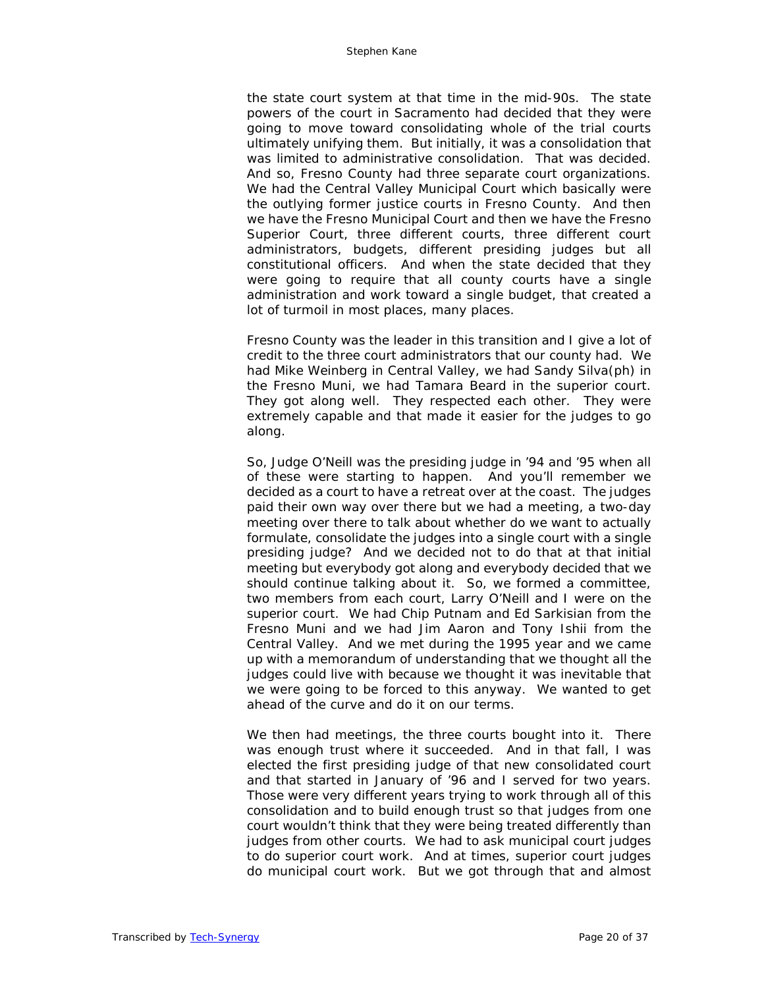the state court system at that time in the mid-90s. The state powers of the court in Sacramento had decided that they were going to move toward consolidating whole of the trial courts ultimately unifying them. But initially, it was a consolidation that was limited to administrative consolidation. That was decided. And so, Fresno County had three separate court organizations. We had the Central Valley Municipal Court which basically were the outlying former justice courts in Fresno County. And then we have the Fresno Municipal Court and then we have the Fresno Superior Court, three different courts, three different court administrators, budgets, different presiding judges but all constitutional officers. And when the state decided that they were going to require that all county courts have a single administration and work toward a single budget, that created a lot of turmoil in most places, many places.

Fresno County was the leader in this transition and I give a lot of credit to the three court administrators that our county had. We had Mike Weinberg in Central Valley, we had Sandy Silva(ph) in the Fresno Muni, we had Tamara Beard in the superior court. They got along well. They respected each other. They were extremely capable and that made it easier for the judges to go along.

So, Judge O'Neill was the presiding judge in '94 and '95 when all of these were starting to happen. And you'll remember we decided as a court to have a retreat over at the coast. The judges paid their own way over there but we had a meeting, a two-day meeting over there to talk about whether do we want to actually formulate, consolidate the judges into a single court with a single presiding judge? And we decided not to do that at that initial meeting but everybody got along and everybody decided that we should continue talking about it. So, we formed a committee, two members from each court, Larry O'Neill and I were on the superior court. We had Chip Putnam and Ed Sarkisian from the Fresno Muni and we had Jim Aaron and Tony Ishii from the Central Valley. And we met during the 1995 year and we came up with a memorandum of understanding that we thought all the judges could live with because we thought it was inevitable that we were going to be forced to this anyway. We wanted to get ahead of the curve and do it on our terms.

We then had meetings, the three courts bought into it. There was enough trust where it succeeded. And in that fall, I was elected the first presiding judge of that new consolidated court and that started in January of '96 and I served for two years. Those were very different years trying to work through all of this consolidation and to build enough trust so that judges from one court wouldn't think that they were being treated differently than judges from other courts. We had to ask municipal court judges to do superior court work. And at times, superior court judges do municipal court work. But we got through that and almost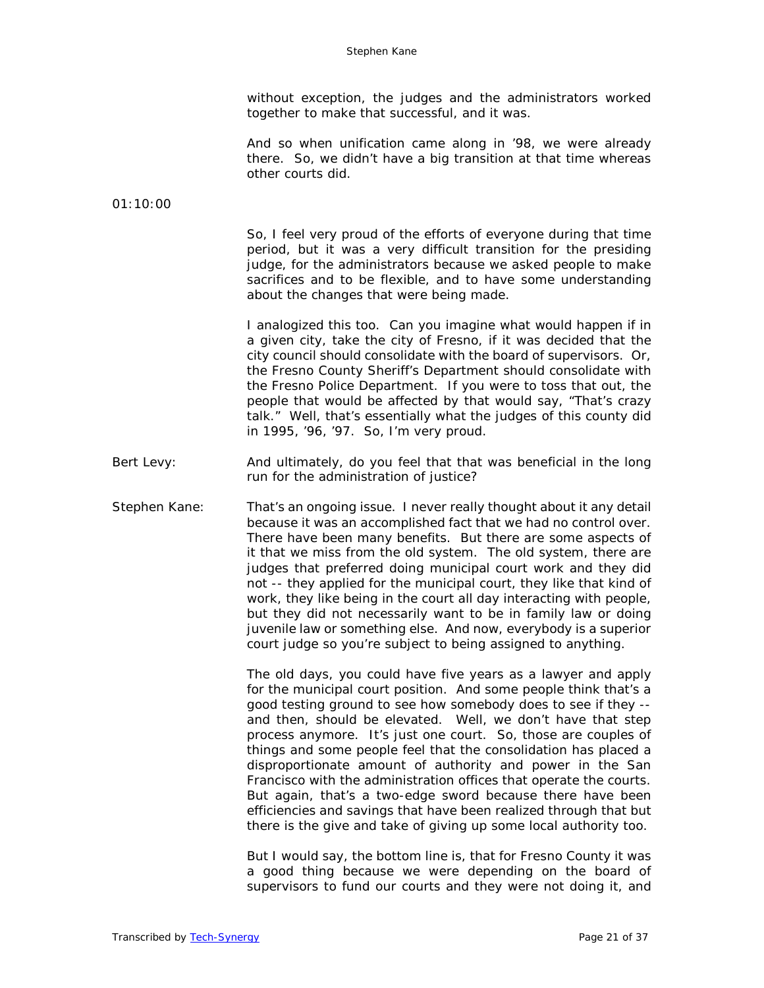without exception, the judges and the administrators worked together to make that successful, and it was.

And so when unification came along in '98, we were already there. So, we didn't have a big transition at that time whereas other courts did.

01:10:00

So, I feel very proud of the efforts of everyone during that time period, but it was a very difficult transition for the presiding judge, for the administrators because we asked people to make sacrifices and to be flexible, and to have some understanding about the changes that were being made.

I analogized this too. Can you imagine what would happen if in a given city, take the city of Fresno, if it was decided that the city council should consolidate with the board of supervisors. Or, the Fresno County Sheriff's Department should consolidate with the Fresno Police Department. If you were to toss that out, the people that would be affected by that would say, "That's crazy talk." Well, that's essentially what the judges of this county did in 1995, '96, '97. So, I'm very proud.

- Bert Levy: And ultimately, do you feel that that was beneficial in the long run for the administration of justice?
- Stephen Kane: That's an ongoing issue. I never really thought about it any detail because it was an accomplished fact that we had no control over. There have been many benefits. But there are some aspects of it that we miss from the old system. The old system, there are judges that preferred doing municipal court work and they did not -- they applied for the municipal court, they like that kind of work, they like being in the court all day interacting with people, but they did not necessarily want to be in family law or doing juvenile law or something else. And now, everybody is a superior court judge so you're subject to being assigned to anything.

The old days, you could have five years as a lawyer and apply for the municipal court position. And some people think that's a good testing ground to see how somebody does to see if they - and then, should be elevated. Well, we don't have that step process anymore. It's just one court. So, those are couples of things and some people feel that the consolidation has placed a disproportionate amount of authority and power in the San Francisco with the administration offices that operate the courts. But again, that's a two-edge sword because there have been efficiencies and savings that have been realized through that but there is the give and take of giving up some local authority too.

But I would say, the bottom line is, that for Fresno County it was a good thing because we were depending on the board of supervisors to fund our courts and they were not doing it, and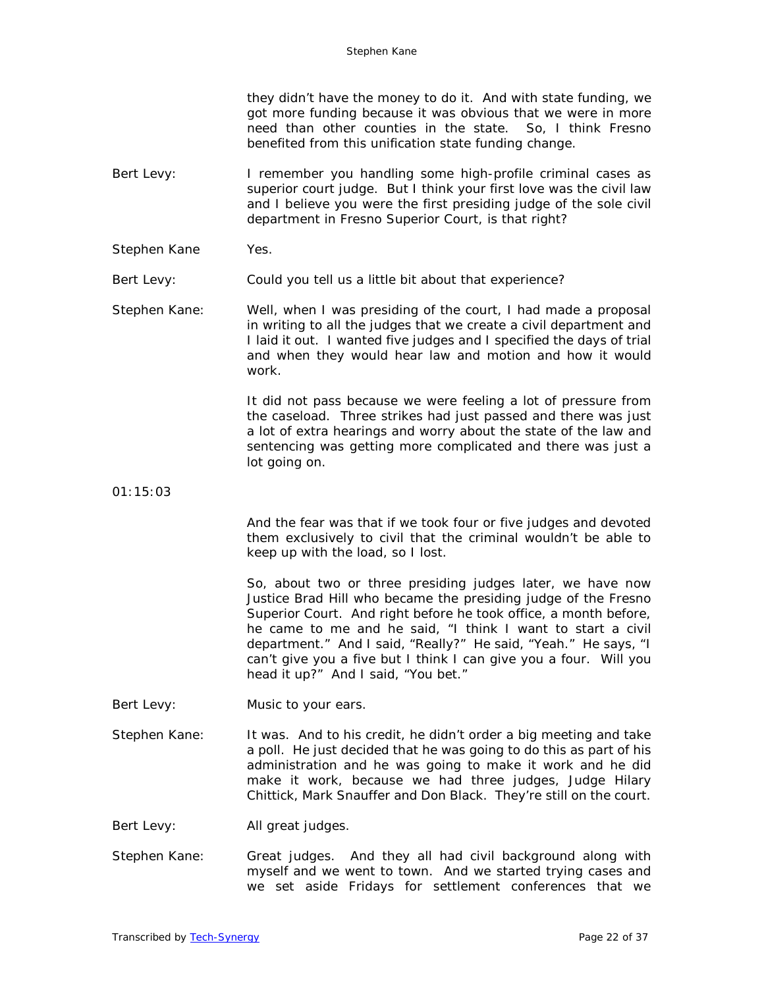they didn't have the money to do it. And with state funding, we got more funding because it was obvious that we were in more need than other counties in the state. So, I think Fresno benefited from this unification state funding change.

- Bert Levy: I remember you handling some high-profile criminal cases as superior court judge. But I think your first love was the civil law and I believe you were the first presiding judge of the sole civil department in Fresno Superior Court, is that right?
- Stephen Kane Yes.

Bert Levy: Could you tell us a little bit about that experience?

Stephen Kane: Well, when I was presiding of the court, I had made a proposal in writing to all the judges that we create a civil department and I laid it out. I wanted five judges and I specified the days of trial and when they would hear law and motion and how it would work.

> It did not pass because we were feeling a lot of pressure from the caseload. Three strikes had just passed and there was just a lot of extra hearings and worry about the state of the law and sentencing was getting more complicated and there was just a lot going on.

01:15:03

And the fear was that if we took four or five judges and devoted them exclusively to civil that the criminal wouldn't be able to keep up with the load, so I lost.

So, about two or three presiding judges later, we have now Justice Brad Hill who became the presiding judge of the Fresno Superior Court. And right before he took office, a month before, he came to me and he said, "I think I want to start a civil department." And I said, "Really?" He said, "Yeah." He says, "I can't give you a five but I think I can give you a four. Will you head it up?" And I said, "You bet."

- Bert Levy: Music to your ears.
- Stephen Kane: It was. And to his credit, he didn't order a big meeting and take a poll. He just decided that he was going to do this as part of his administration and he was going to make it work and he did make it work, because we had three judges, Judge Hilary Chittick, Mark Snauffer and Don Black. They're still on the court.
- Bert Levy: All great judges.
- Stephen Kane: Great judges. And they all had civil background along with myself and we went to town. And we started trying cases and we set aside Fridays for settlement conferences that we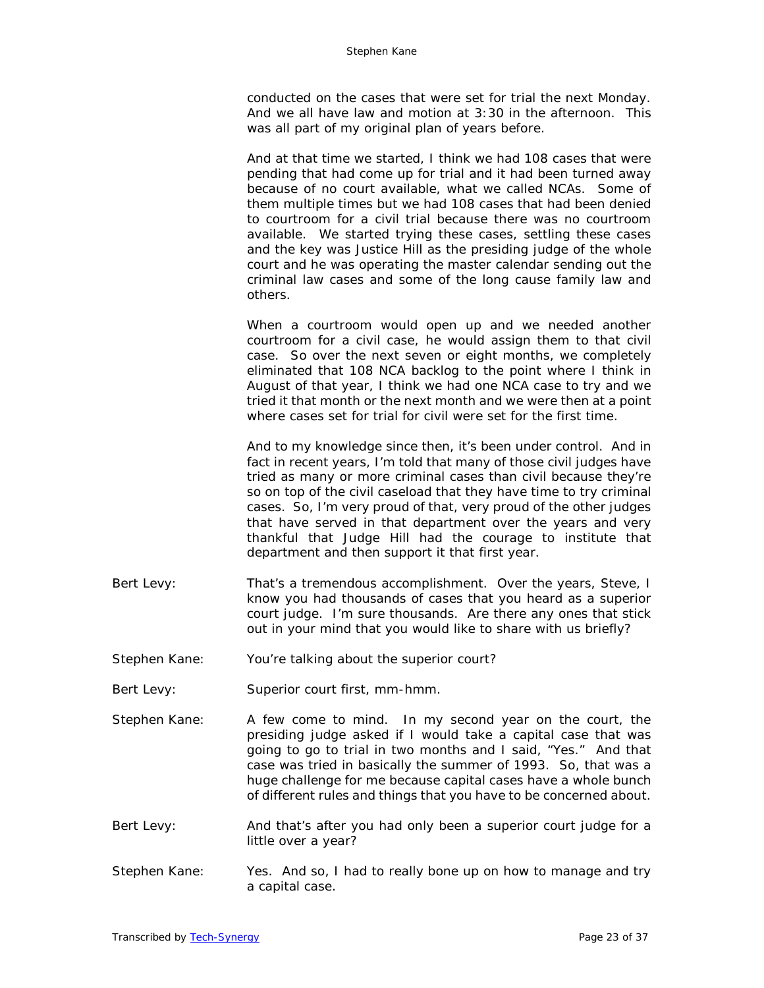conducted on the cases that were set for trial the next Monday. And we all have law and motion at 3:30 in the afternoon. This was all part of my original plan of years before.

And at that time we started, I think we had 108 cases that were pending that had come up for trial and it had been turned away because of no court available, what we called NCAs. Some of them multiple times but we had 108 cases that had been denied to courtroom for a civil trial because there was no courtroom available. We started trying these cases, settling these cases and the key was Justice Hill as the presiding judge of the whole court and he was operating the master calendar sending out the criminal law cases and some of the long cause family law and others.

When a courtroom would open up and we needed another courtroom for a civil case, he would assign them to that civil case. So over the next seven or eight months, we completely eliminated that 108 NCA backlog to the point where I think in August of that year, I think we had one NCA case to try and we tried it that month or the next month and we were then at a point where cases set for trial for civil were set for the first time.

And to my knowledge since then, it's been under control. And in fact in recent years, I'm told that many of those civil judges have tried as many or more criminal cases than civil because they're so on top of the civil caseload that they have time to try criminal cases. So, I'm very proud of that, very proud of the other judges that have served in that department over the years and very thankful that Judge Hill had the courage to institute that department and then support it that first year.

- Bert Levy: That's a tremendous accomplishment. Over the years, Steve, I know you had thousands of cases that you heard as a superior court judge. I'm sure thousands. Are there any ones that stick out in your mind that you would like to share with us briefly?
- Stephen Kane: You're talking about the superior court?
- Bert Levy: Superior court first, mm-hmm.
- Stephen Kane: A few come to mind. In my second year on the court, the presiding judge asked if I would take a capital case that was going to go to trial in two months and I said, "Yes." And that case was tried in basically the summer of 1993. So, that was a huge challenge for me because capital cases have a whole bunch of different rules and things that you have to be concerned about.
- Bert Levy: And that's after you had only been a superior court judge for a little over a year?
- Stephen Kane: Yes. And so, I had to really bone up on how to manage and try a capital case.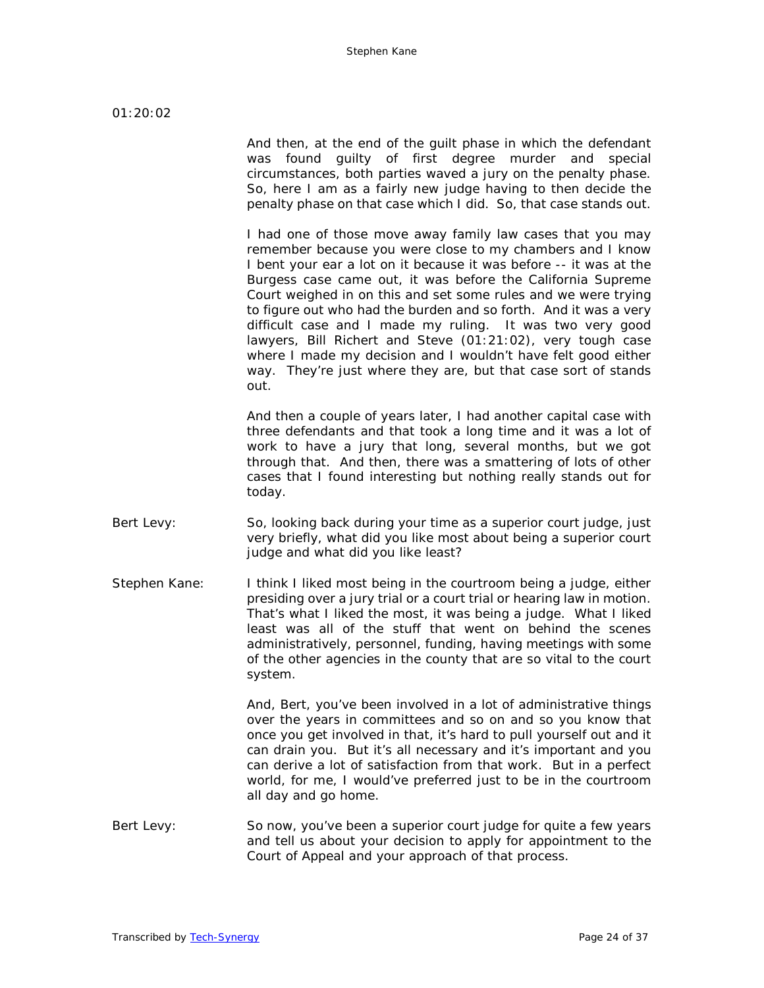And then, at the end of the guilt phase in which the defendant was found guilty of first degree murder and special circumstances, both parties waved a jury on the penalty phase. So, here I am as a fairly new judge having to then decide the penalty phase on that case which I did. So, that case stands out.

I had one of those move away family law cases that you may remember because you were close to my chambers and I know I bent your ear a lot on it because it was before -- it was at the Burgess case came out, it was before the California Supreme Court weighed in on this and set some rules and we were trying to figure out who had the burden and so forth. And it was a very difficult case and I made my ruling. It was two very good lawyers, Bill Richert and Steve (01:21:02), very tough case where I made my decision and I wouldn't have felt good either way. They're just where they are, but that case sort of stands out.

And then a couple of years later, I had another capital case with three defendants and that took a long time and it was a lot of work to have a jury that long, several months, but we got through that. And then, there was a smattering of lots of other cases that I found interesting but nothing really stands out for today.

- Bert Levy: So, looking back during your time as a superior court judge, just very briefly, what did you like most about being a superior court judge and what did you like least?
- Stephen Kane: I think I liked most being in the courtroom being a judge, either presiding over a jury trial or a court trial or hearing law in motion. That's what I liked the most, it was being a judge. What I liked least was all of the stuff that went on behind the scenes administratively, personnel, funding, having meetings with some of the other agencies in the county that are so vital to the court system.

And, Bert, you've been involved in a lot of administrative things over the years in committees and so on and so you know that once you get involved in that, it's hard to pull yourself out and it can drain you. But it's all necessary and it's important and you can derive a lot of satisfaction from that work. But in a perfect world, for me, I would've preferred just to be in the courtroom all day and go home.

Bert Levy: So now, you've been a superior court judge for quite a few years and tell us about your decision to apply for appointment to the Court of Appeal and your approach of that process.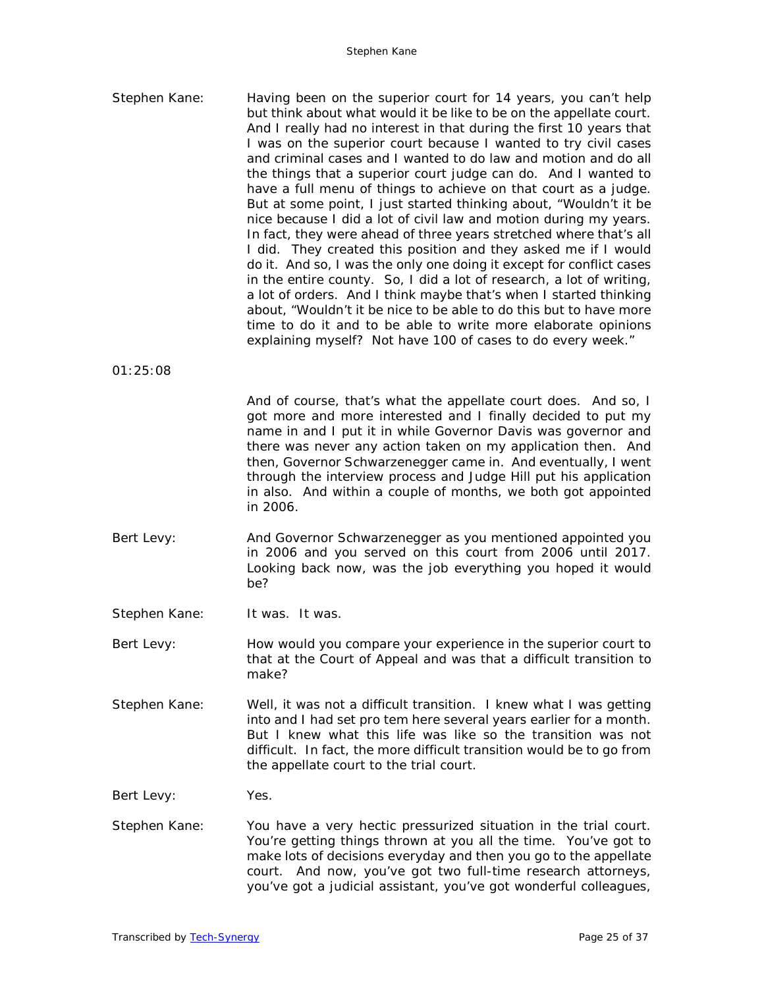| Stephen Kane: | Having been on the superior court for 14 years, you can't help<br>but think about what would it be like to be on the appellate court.<br>And I really had no interest in that during the first 10 years that<br>I was on the superior court because I wanted to try civil cases<br>and criminal cases and I wanted to do law and motion and do all<br>the things that a superior court judge can do. And I wanted to<br>have a full menu of things to achieve on that court as a judge.<br>But at some point, I just started thinking about, "Wouldn't it be<br>nice because I did a lot of civil law and motion during my years.<br>In fact, they were ahead of three years stretched where that's all<br>I did. They created this position and they asked me if I would<br>do it. And so, I was the only one doing it except for conflict cases<br>in the entire county. So, I did a lot of research, a lot of writing,<br>a lot of orders. And I think maybe that's when I started thinking<br>about, "Wouldn't it be nice to be able to do this but to have more<br>time to do it and to be able to write more elaborate opinions<br>explaining myself? Not have 100 of cases to do every week." |
|---------------|------------------------------------------------------------------------------------------------------------------------------------------------------------------------------------------------------------------------------------------------------------------------------------------------------------------------------------------------------------------------------------------------------------------------------------------------------------------------------------------------------------------------------------------------------------------------------------------------------------------------------------------------------------------------------------------------------------------------------------------------------------------------------------------------------------------------------------------------------------------------------------------------------------------------------------------------------------------------------------------------------------------------------------------------------------------------------------------------------------------------------------------------------------------------------------------------------|
| 01:25:08      |                                                                                                                                                                                                                                                                                                                                                                                                                                                                                                                                                                                                                                                                                                                                                                                                                                                                                                                                                                                                                                                                                                                                                                                                      |
|               | And of course, that's what the appellate court does. And so, I<br>got more and more interested and I finally decided to put my<br>name in and I put it in while Governor Davis was governor and<br>there was never any action taken on my application then. And<br>then, Governor Schwarzenegger came in. And eventually, I went<br>through the interview process and Judge Hill put his application<br>in also. And within a couple of months, we both got appointed<br>in 2006.                                                                                                                                                                                                                                                                                                                                                                                                                                                                                                                                                                                                                                                                                                                    |
| Bert Levy:    | And Governor Schwarzenegger as you mentioned appointed you<br>in 2006 and you served on this court from 2006 until 2017.<br>Looking back now, was the job everything you hoped it would<br>be?                                                                                                                                                                                                                                                                                                                                                                                                                                                                                                                                                                                                                                                                                                                                                                                                                                                                                                                                                                                                       |
| Stephen Kane: | It was. It was.                                                                                                                                                                                                                                                                                                                                                                                                                                                                                                                                                                                                                                                                                                                                                                                                                                                                                                                                                                                                                                                                                                                                                                                      |
| Bert Levy:    | How would you compare your experience in the superior court to                                                                                                                                                                                                                                                                                                                                                                                                                                                                                                                                                                                                                                                                                                                                                                                                                                                                                                                                                                                                                                                                                                                                       |

that at the Court of Appeal and was that a difficult transition to make?

Stephen Kane: Well, it was not a difficult transition. I knew what I was getting into and I had set pro tem here several years earlier for a month. But I knew what this life was like so the transition was not difficult. In fact, the more difficult transition would be to go from the appellate court to the trial court.

Bert Levy: Yes.

Stephen Kane: You have a very hectic pressurized situation in the trial court. You're getting things thrown at you all the time. You've got to make lots of decisions everyday and then you go to the appellate court. And now, you've got two full-time research attorneys, you've got a judicial assistant, you've got wonderful colleagues,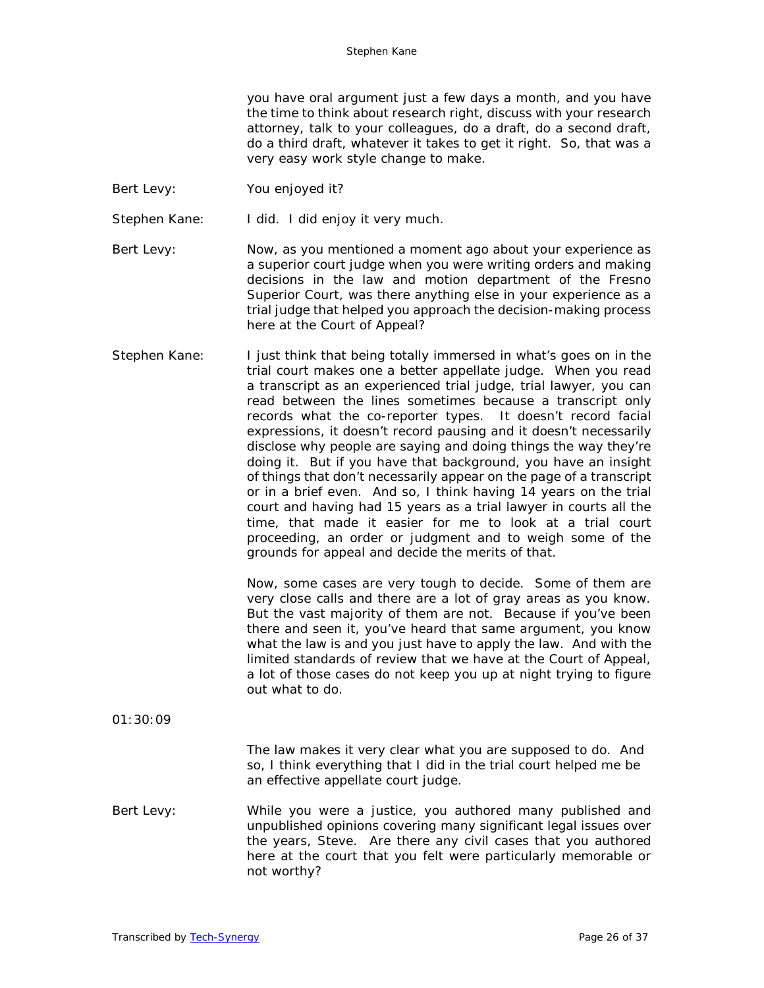you have oral argument just a few days a month, and you have the time to think about research right, discuss with your research attorney, talk to your colleagues, do a draft, do a second draft, do a third draft, whatever it takes to get it right. So, that was a very easy work style change to make.

- Bert Levy: You enjoyed it?
- Stephen Kane: I did. I did enjoy it very much.
- Bert Levy: Now, as you mentioned a moment ago about your experience as a superior court judge when you were writing orders and making decisions in the law and motion department of the Fresno Superior Court, was there anything else in your experience as a trial judge that helped you approach the decision-making process here at the Court of Appeal?
- Stephen Kane: I just think that being totally immersed in what's goes on in the trial court makes one a better appellate judge. When you read a transcript as an experienced trial judge, trial lawyer, you can read between the lines sometimes because a transcript only records what the co-reporter types. It doesn't record facial expressions, it doesn't record pausing and it doesn't necessarily disclose why people are saying and doing things the way they're doing it. But if you have that background, you have an insight of things that don't necessarily appear on the page of a transcript or in a brief even. And so, I think having 14 years on the trial court and having had 15 years as a trial lawyer in courts all the time, that made it easier for me to look at a trial court proceeding, an order or judgment and to weigh some of the grounds for appeal and decide the merits of that.

Now, some cases are very tough to decide. Some of them are very close calls and there are a lot of gray areas as you know. But the vast majority of them are not. Because if you've been there and seen it, you've heard that same argument, you know what the law is and you just have to apply the law. And with the limited standards of review that we have at the Court of Appeal, a lot of those cases do not keep you up at night trying to figure out what to do.

01:30:09

The law makes it very clear what you are supposed to do. And so, I think everything that I did in the trial court helped me be an effective appellate court judge.

Bert Levy: While you were a justice, you authored many published and unpublished opinions covering many significant legal issues over the years, Steve. Are there any civil cases that you authored here at the court that you felt were particularly memorable or not worthy?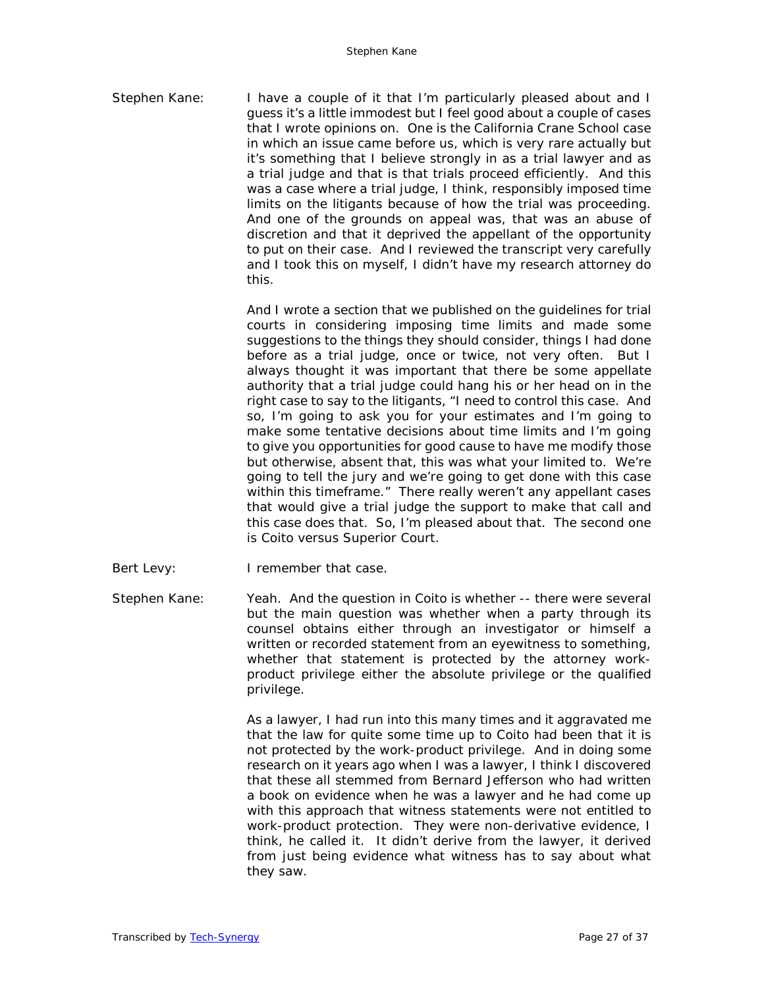Stephen Kane: I have a couple of it that I'm particularly pleased about and I guess it's a little immodest but I feel good about a couple of cases that I wrote opinions on. One is the California Crane School case in which an issue came before us, which is very rare actually but it's something that I believe strongly in as a trial lawyer and as a trial judge and that is that trials proceed efficiently. And this was a case where a trial judge, I think, responsibly imposed time limits on the litigants because of how the trial was proceeding. And one of the grounds on appeal was, that was an abuse of discretion and that it deprived the appellant of the opportunity to put on their case. And I reviewed the transcript very carefully and I took this on myself, I didn't have my research attorney do this.

> And I wrote a section that we published on the guidelines for trial courts in considering imposing time limits and made some suggestions to the things they should consider, things I had done before as a trial judge, once or twice, not very often. But I always thought it was important that there be some appellate authority that a trial judge could hang his or her head on in the right case to say to the litigants, "I need to control this case. And so, I'm going to ask you for your estimates and I'm going to make some tentative decisions about time limits and I'm going to give you opportunities for good cause to have me modify those but otherwise, absent that, this was what your limited to. We're going to tell the jury and we're going to get done with this case within this timeframe." There really weren't any appellant cases that would give a trial judge the support to make that call and this case does that. So, I'm pleased about that. The second one is Coito versus Superior Court.

- Bert Levy: I remember that case.
- Stephen Kane: Yeah. And the question in Coito is whether -- there were several but the main question was whether when a party through its counsel obtains either through an investigator or himself a written or recorded statement from an eyewitness to something, whether that statement is protected by the attorney workproduct privilege either the absolute privilege or the qualified privilege.

As a lawyer, I had run into this many times and it aggravated me that the law for quite some time up to Coito had been that it is not protected by the work-product privilege. And in doing some research on it years ago when I was a lawyer, I think I discovered that these all stemmed from Bernard Jefferson who had written a book on evidence when he was a lawyer and he had come up with this approach that witness statements were not entitled to work-product protection. They were non-derivative evidence, I think, he called it. It didn't derive from the lawyer, it derived from just being evidence what witness has to say about what they saw.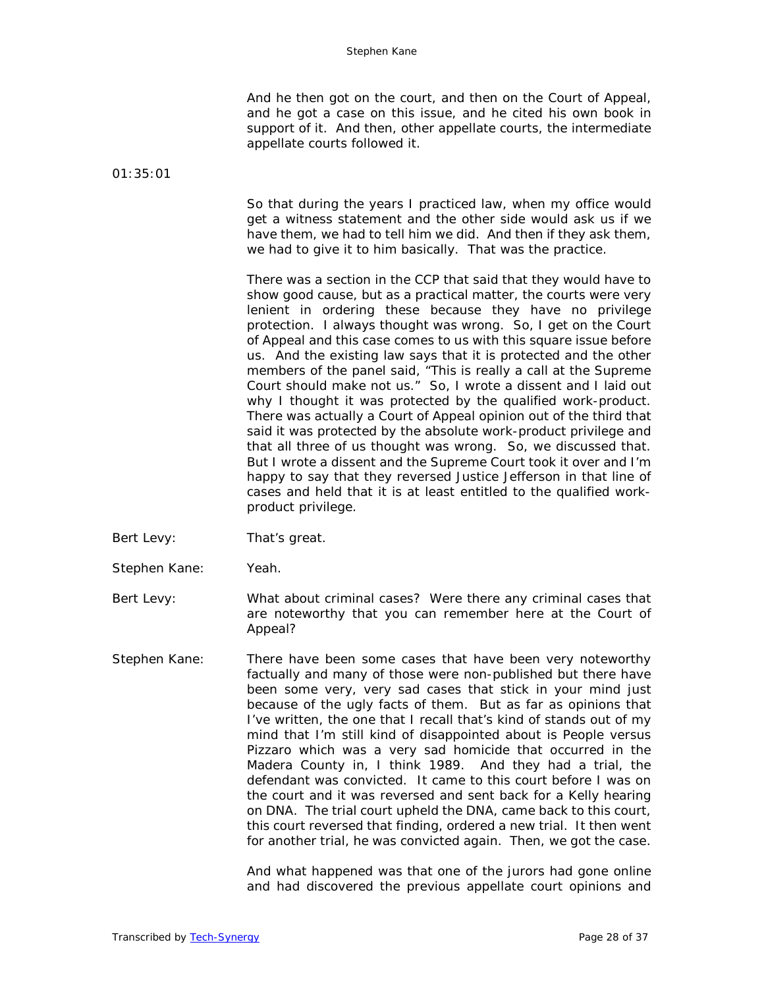And he then got on the court, and then on the Court of Appeal, and he got a case on this issue, and he cited his own book in support of it. And then, other appellate courts, the intermediate appellate courts followed it.

01:35:01

So that during the years I practiced law, when my office would get a witness statement and the other side would ask us if we have them, we had to tell him we did. And then if they ask them, we had to give it to him basically. That was the practice.

There was a section in the CCP that said that they would have to show good cause, but as a practical matter, the courts were very lenient in ordering these because they have no privilege protection. I always thought was wrong. So, I get on the Court of Appeal and this case comes to us with this square issue before us. And the existing law says that it is protected and the other members of the panel said, "This is really a call at the Supreme Court should make not us." So, I wrote a dissent and I laid out why I thought it was protected by the qualified work-product. There was actually a Court of Appeal opinion out of the third that said it was protected by the absolute work-product privilege and that all three of us thought was wrong. So, we discussed that. But I wrote a dissent and the Supreme Court took it over and I'm happy to say that they reversed Justice Jefferson in that line of cases and held that it is at least entitled to the qualified workproduct privilege.

- Bert Levy: That's great.
- Stephen Kane: Yeah.

Bert Levy: What about criminal cases? Were there any criminal cases that are noteworthy that you can remember here at the Court of Appeal?

Stephen Kane: There have been some cases that have been very noteworthy factually and many of those were non-published but there have been some very, very sad cases that stick in your mind just because of the ugly facts of them. But as far as opinions that I've written, the one that I recall that's kind of stands out of my mind that I'm still kind of disappointed about is People versus Pizzaro which was a very sad homicide that occurred in the Madera County in, I think 1989. And they had a trial, the defendant was convicted. It came to this court before I was on the court and it was reversed and sent back for a Kelly hearing on DNA. The trial court upheld the DNA, came back to this court, this court reversed that finding, ordered a new trial. It then went for another trial, he was convicted again. Then, we got the case.

> And what happened was that one of the jurors had gone online and had discovered the previous appellate court opinions and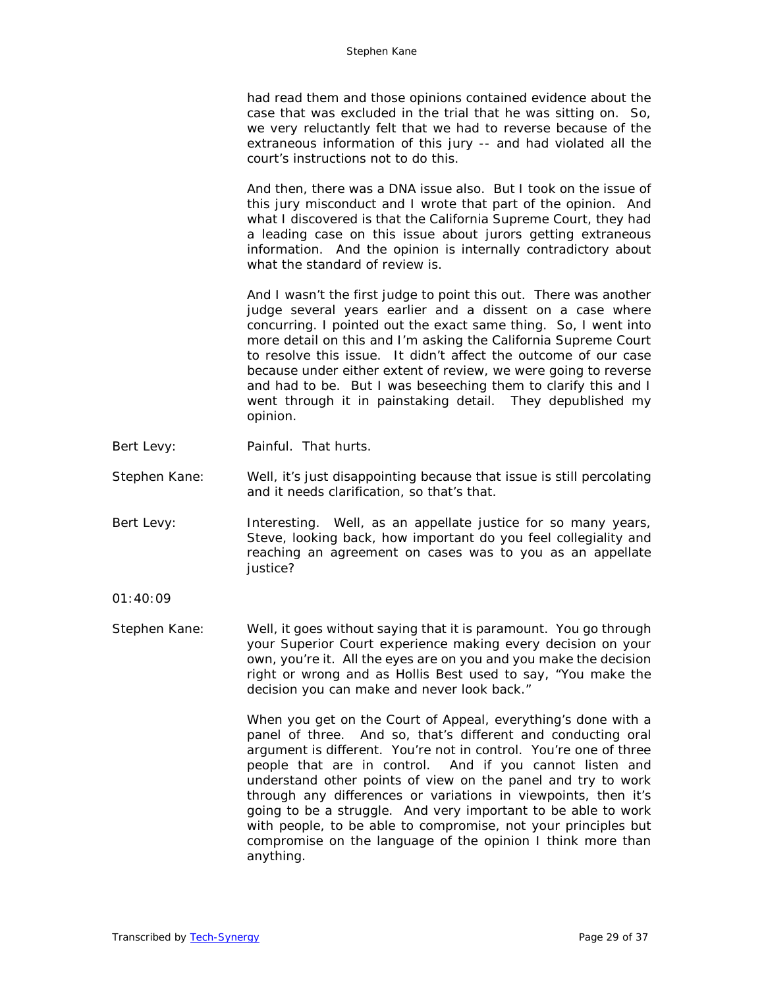had read them and those opinions contained evidence about the case that was excluded in the trial that he was sitting on. So, we very reluctantly felt that we had to reverse because of the extraneous information of this jury -- and had violated all the court's instructions not to do this.

And then, there was a DNA issue also. But I took on the issue of this jury misconduct and I wrote that part of the opinion. And what I discovered is that the California Supreme Court, they had a leading case on this issue about jurors getting extraneous information. And the opinion is internally contradictory about what the standard of review is.

And I wasn't the first judge to point this out. There was another judge several years earlier and a dissent on a case where concurring. I pointed out the exact same thing. So, I went into more detail on this and I'm asking the California Supreme Court to resolve this issue. It didn't affect the outcome of our case because under either extent of review, we were going to reverse and had to be. But I was beseeching them to clarify this and I went through it in painstaking detail. They depublished my opinion.

- Bert Levy: Painful. That hurts.
- Stephen Kane: Well, it's just disappointing because that issue is still percolating and it needs clarification, so that's that.
- Bert Levy: Interesting. Well, as an appellate justice for so many years, Steve, looking back, how important do you feel collegiality and reaching an agreement on cases was to you as an appellate justice?

01:40:09

Stephen Kane: Well, it goes without saying that it is paramount. You go through your Superior Court experience making every decision on your own, you're it. All the eyes are on you and you make the decision right or wrong and as Hollis Best used to say, "You make the decision you can make and never look back."

> When you get on the Court of Appeal, everything's done with a panel of three. And so, that's different and conducting oral argument is different. You're not in control. You're one of three people that are in control. And if you cannot listen and understand other points of view on the panel and try to work through any differences or variations in viewpoints, then it's going to be a struggle. And very important to be able to work with people, to be able to compromise, not your principles but compromise on the language of the opinion I think more than anything.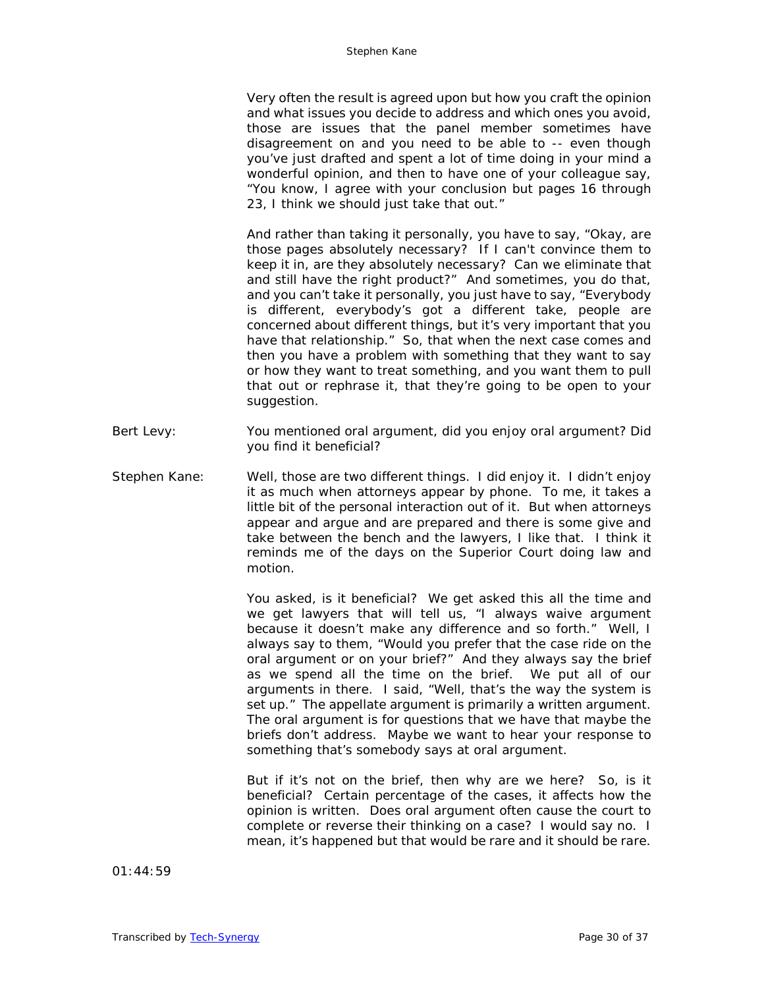Very often the result is agreed upon but how you craft the opinion and what issues you decide to address and which ones you avoid, those are issues that the panel member sometimes have disagreement on and you need to be able to -- even though you've just drafted and spent a lot of time doing in your mind a wonderful opinion, and then to have one of your colleague say, "You know, I agree with your conclusion but pages 16 through 23, I think we should just take that out."

And rather than taking it personally, you have to say, "Okay, are those pages absolutely necessary? If I can't convince them to keep it in, are they absolutely necessary? Can we eliminate that and still have the right product?" And sometimes, you do that, and you can't take it personally, you just have to say, "Everybody is different, everybody's got a different take, people are concerned about different things, but it's very important that you have that relationship." So, that when the next case comes and then you have a problem with something that they want to say or how they want to treat something, and you want them to pull that out or rephrase it, that they're going to be open to your suggestion.

- Bert Levy: You mentioned oral argument, did you enjoy oral argument? Did you find it beneficial?
- Stephen Kane: Well, those are two different things. I did enjoy it. I didn't enjoy it as much when attorneys appear by phone. To me, it takes a little bit of the personal interaction out of it. But when attorneys appear and argue and are prepared and there is some give and take between the bench and the lawyers, I like that. I think it reminds me of the days on the Superior Court doing law and motion.

You asked, is it beneficial? We get asked this all the time and we get lawyers that will tell us, "I always waive argument because it doesn't make any difference and so forth." Well, I always say to them, "Would you prefer that the case ride on the oral argument or on your brief?" And they always say the brief as we spend all the time on the brief. We put all of our arguments in there. I said, "Well, that's the way the system is set up." The appellate argument is primarily a written argument. The oral argument is for questions that we have that maybe the briefs don't address. Maybe we want to hear your response to something that's somebody says at oral argument.

But if it's not on the brief, then why are we here? So, is it beneficial? Certain percentage of the cases, it affects how the opinion is written. Does oral argument often cause the court to complete or reverse their thinking on a case? I would say no. I mean, it's happened but that would be rare and it should be rare.

01:44:59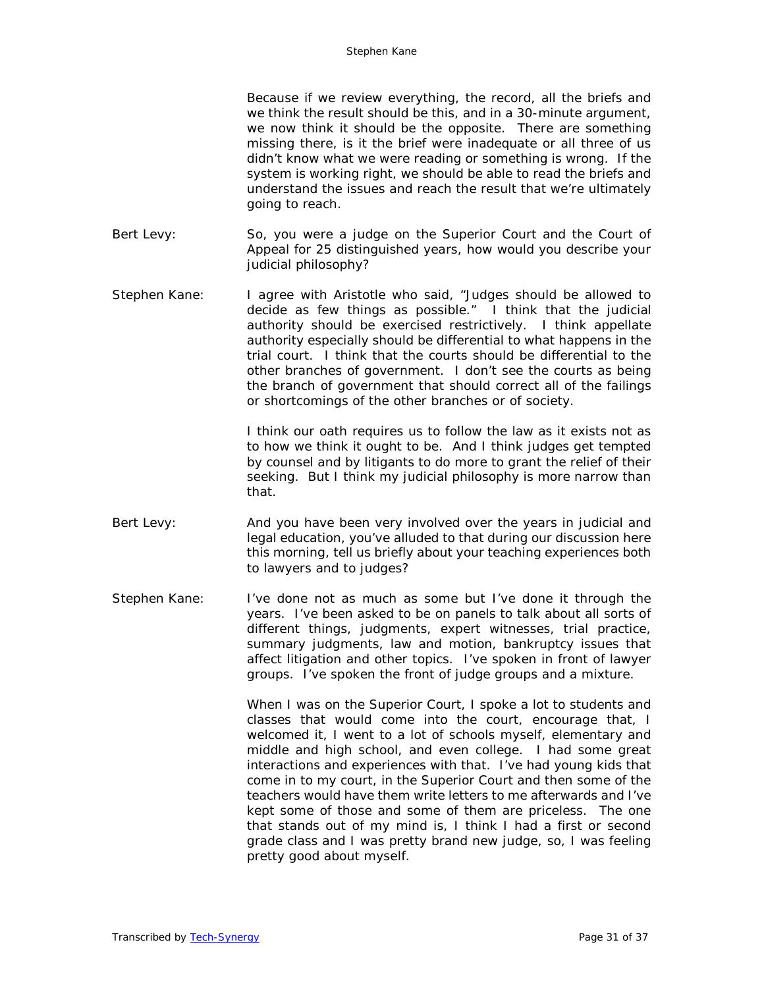Because if we review everything, the record, all the briefs and we think the result should be this, and in a 30-minute argument, we now think it should be the opposite. There are something missing there, is it the brief were inadequate or all three of us didn't know what we were reading or something is wrong. If the system is working right, we should be able to read the briefs and understand the issues and reach the result that we're ultimately going to reach.

- Bert Levy: So, you were a judge on the Superior Court and the Court of Appeal for 25 distinguished years, how would you describe your judicial philosophy?
- Stephen Kane: I agree with Aristotle who said, "Judges should be allowed to decide as few things as possible." I think that the judicial authority should be exercised restrictively. I think appellate authority especially should be differential to what happens in the trial court. I think that the courts should be differential to the other branches of government. I don't see the courts as being the branch of government that should correct all of the failings or shortcomings of the other branches or of society.

I think our oath requires us to follow the law as it exists not as to how we think it ought to be. And I think judges get tempted by counsel and by litigants to do more to grant the relief of their seeking. But I think my judicial philosophy is more narrow than that.

- Bert Levy: And you have been very involved over the years in judicial and legal education, you've alluded to that during our discussion here this morning, tell us briefly about your teaching experiences both to lawyers and to judges?
- Stephen Kane: I've done not as much as some but I've done it through the years. I've been asked to be on panels to talk about all sorts of different things, judgments, expert witnesses, trial practice, summary judgments, law and motion, bankruptcy issues that affect litigation and other topics. I've spoken in front of lawyer groups. I've spoken the front of judge groups and a mixture.

When I was on the Superior Court, I spoke a lot to students and classes that would come into the court, encourage that, I welcomed it, I went to a lot of schools myself, elementary and middle and high school, and even college. I had some great interactions and experiences with that. I've had young kids that come in to my court, in the Superior Court and then some of the teachers would have them write letters to me afterwards and I've kept some of those and some of them are priceless. The one that stands out of my mind is, I think I had a first or second grade class and I was pretty brand new judge, so, I was feeling pretty good about myself.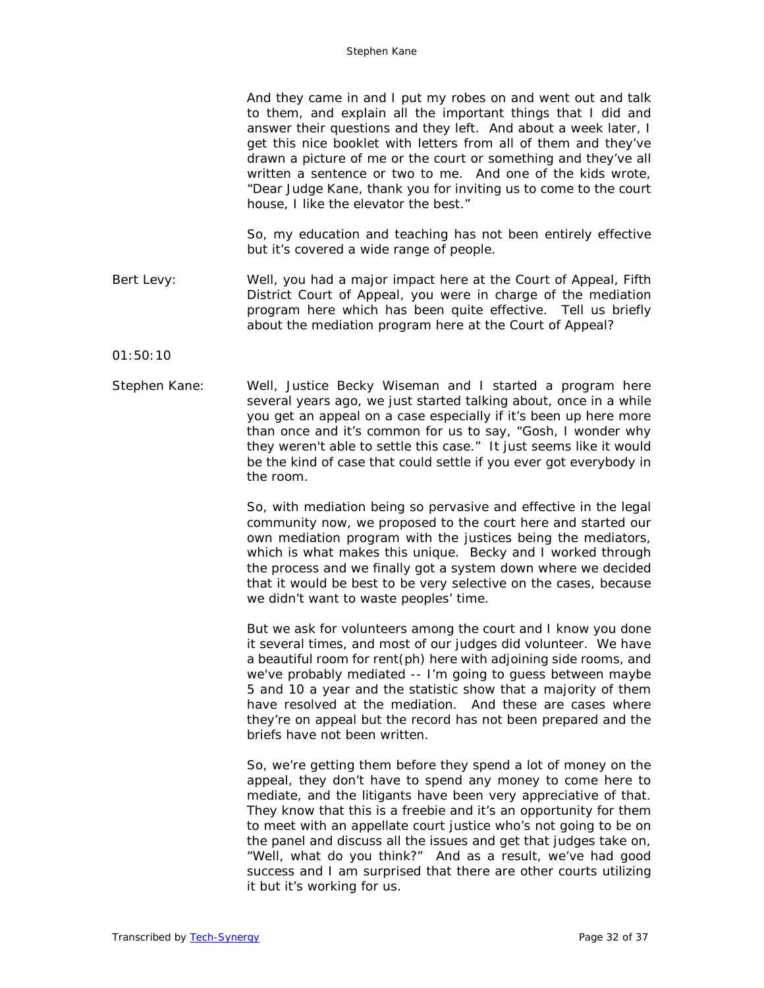| And they came in and I put my robes on and went out and talk     |
|------------------------------------------------------------------|
| to them, and explain all the important things that I did and     |
| answer their questions and they left. And about a week later, I  |
| get this nice booklet with letters from all of them and they've  |
| drawn a picture of me or the court or something and they've all  |
| written a sentence or two to me. And one of the kids wrote,      |
| "Dear Judge Kane, thank you for inviting us to come to the court |
| house, I like the elevator the best."                            |
|                                                                  |
| So, my education and teaching has not been entirely effective    |

Bert Levy: Well, you had a major impact here at the Court of Appeal, Fifth District Court of Appeal, you were in charge of the mediation program here which has been quite effective. Tell us briefly about the mediation program here at the Court of Appeal?

but it's covered a wide range of people.

01:50:10

Stephen Kane: Well, Justice Becky Wiseman and I started a program here several years ago, we just started talking about, once in a while you get an appeal on a case especially if it's been up here more than once and it's common for us to say, "Gosh, I wonder why they weren't able to settle this case." It just seems like it would be the kind of case that could settle if you ever got everybody in the room.

> So, with mediation being so pervasive and effective in the legal community now, we proposed to the court here and started our own mediation program with the justices being the mediators, which is what makes this unique. Becky and I worked through the process and we finally got a system down where we decided that it would be best to be very selective on the cases, because we didn't want to waste peoples' time.

> But we ask for volunteers among the court and I know you done it several times, and most of our judges did volunteer. We have a beautiful room for rent(ph) here with adjoining side rooms, and we've probably mediated -- I'm going to guess between maybe 5 and 10 a year and the statistic show that a majority of them have resolved at the mediation. And these are cases where they're on appeal but the record has not been prepared and the briefs have not been written.

> So, we're getting them before they spend a lot of money on the appeal, they don't have to spend any money to come here to mediate, and the litigants have been very appreciative of that. They know that this is a freebie and it's an opportunity for them to meet with an appellate court justice who's not going to be on the panel and discuss all the issues and get that judges take on, "Well, what do you think?" And as a result, we've had good success and I am surprised that there are other courts utilizing it but it's working for us.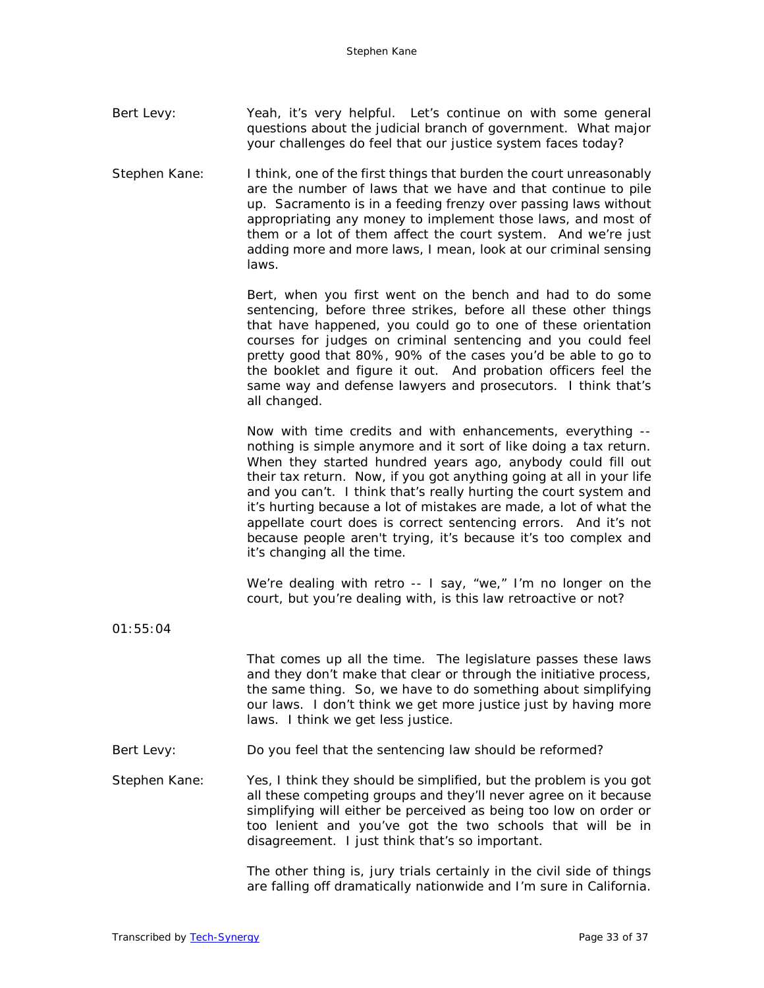| Bert Levy: | Yeah, it's very helpful. Let's continue on with some general  |  |
|------------|---------------------------------------------------------------|--|
|            | questions about the judicial branch of government. What major |  |
|            | your challenges do feel that our justice system faces today?  |  |

Stephen Kane: I think, one of the first things that burden the court unreasonably are the number of laws that we have and that continue to pile up. Sacramento is in a feeding frenzy over passing laws without appropriating any money to implement those laws, and most of them or a lot of them affect the court system. And we're just adding more and more laws, I mean, look at our criminal sensing laws.

> Bert, when you first went on the bench and had to do some sentencing, before three strikes, before all these other things that have happened, you could go to one of these orientation courses for judges on criminal sentencing and you could feel pretty good that 80%, 90% of the cases you'd be able to go to the booklet and figure it out. And probation officers feel the same way and defense lawyers and prosecutors. I think that's all changed.

> Now with time credits and with enhancements, everything - nothing is simple anymore and it sort of like doing a tax return. When they started hundred years ago, anybody could fill out their tax return. Now, if you got anything going at all in your life and you can't. I think that's really hurting the court system and it's hurting because a lot of mistakes are made, a lot of what the appellate court does is correct sentencing errors. And it's not because people aren't trying, it's because it's too complex and it's changing all the time.

> We're dealing with retro -- I say, "we," I'm no longer on the court, but you're dealing with, is this law retroactive or not?

01:55:04

That comes up all the time. The legislature passes these laws and they don't make that clear or through the initiative process, the same thing. So, we have to do something about simplifying our laws. I don't think we get more justice just by having more laws. I think we get less justice.

Bert Levy: Do you feel that the sentencing law should be reformed?

Stephen Kane: Yes, I think they should be simplified, but the problem is you got all these competing groups and they'll never agree on it because simplifying will either be perceived as being too low on order or too lenient and you've got the two schools that will be in disagreement. I just think that's so important.

> The other thing is, jury trials certainly in the civil side of things are falling off dramatically nationwide and I'm sure in California.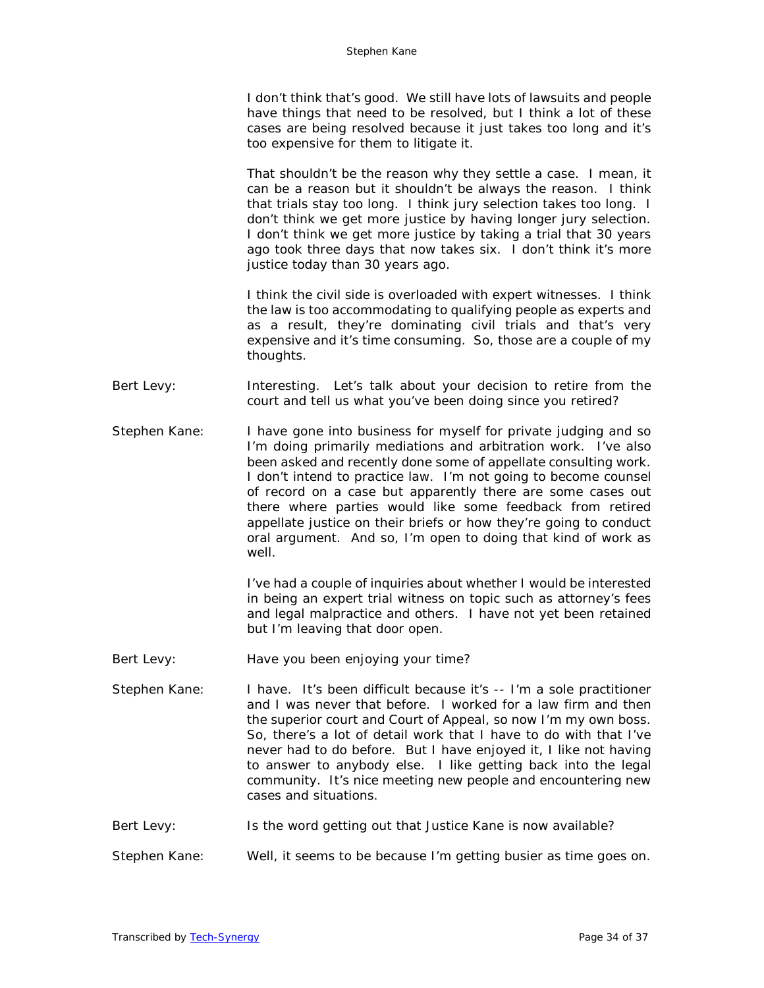I don't think that's good. We still have lots of lawsuits and people have things that need to be resolved, but I think a lot of these cases are being resolved because it just takes too long and it's too expensive for them to litigate it.

That shouldn't be the reason why they settle a case. I mean, it can be a reason but it shouldn't be always the reason. I think that trials stay too long. I think jury selection takes too long. I don't think we get more justice by having longer jury selection. I don't think we get more justice by taking a trial that 30 years ago took three days that now takes six. I don't think it's more justice today than 30 years ago.

I think the civil side is overloaded with expert witnesses. I think the law is too accommodating to qualifying people as experts and as a result, they're dominating civil trials and that's very expensive and it's time consuming. So, those are a couple of my thoughts.

- Bert Levy: Interesting. Let's talk about your decision to retire from the court and tell us what you've been doing since you retired?
- Stephen Kane: I have gone into business for myself for private judging and so I'm doing primarily mediations and arbitration work. I've also been asked and recently done some of appellate consulting work. I don't intend to practice law. I'm not going to become counsel of record on a case but apparently there are some cases out there where parties would like some feedback from retired appellate justice on their briefs or how they're going to conduct oral argument. And so, I'm open to doing that kind of work as well.

I've had a couple of inquiries about whether I would be interested in being an expert trial witness on topic such as attorney's fees and legal malpractice and others. I have not yet been retained but I'm leaving that door open.

- Bert Levy: Have you been enjoying your time?
- Stephen Kane: I have. It's been difficult because it's -- I'm a sole practitioner and I was never that before. I worked for a law firm and then the superior court and Court of Appeal, so now I'm my own boss. So, there's a lot of detail work that I have to do with that I've never had to do before. But I have enjoyed it, I like not having to answer to anybody else. I like getting back into the legal community. It's nice meeting new people and encountering new cases and situations.
- Bert Levy: Is the word getting out that Justice Kane is now available?
- Stephen Kane: Well, it seems to be because I'm getting busier as time goes on.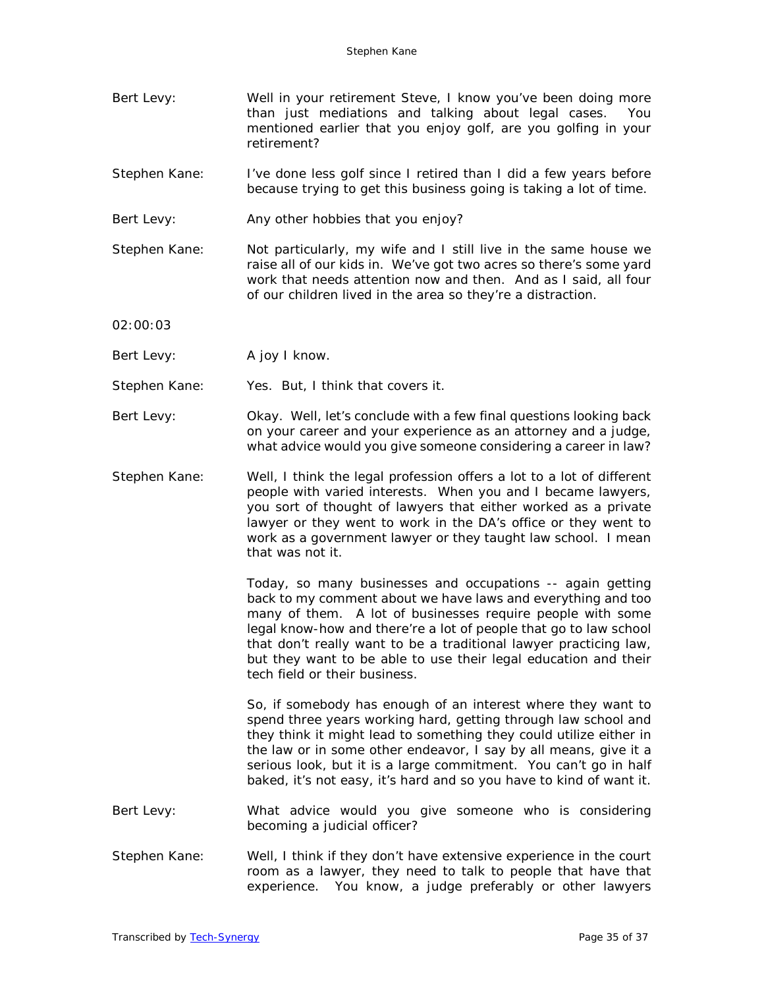- Bert Levy: Well in your retirement Steve, I know you've been doing more than just mediations and talking about legal cases. You mentioned earlier that you enjoy golf, are you golfing in your retirement?
- Stephen Kane: I've done less golf since I retired than I did a few years before because trying to get this business going is taking a lot of time.
- Bert Levy: Any other hobbies that you enjoy?
- Stephen Kane: Not particularly, my wife and I still live in the same house we raise all of our kids in. We've got two acres so there's some yard work that needs attention now and then. And as I said, all four of our children lived in the area so they're a distraction.
- 02:00:03
- Bert Levy: A joy I know.
- Stephen Kane: Yes. But, I think that covers it.
- Bert Levy: Okay. Well, let's conclude with a few final questions looking back on your career and your experience as an attorney and a judge, what advice would you give someone considering a career in law?
- Stephen Kane: Well, I think the legal profession offers a lot to a lot of different people with varied interests. When you and I became lawyers, you sort of thought of lawyers that either worked as a private lawyer or they went to work in the DA's office or they went to work as a government lawyer or they taught law school. I mean that was not it.

Today, so many businesses and occupations -- again getting back to my comment about we have laws and everything and too many of them. A lot of businesses require people with some legal know-how and there're a lot of people that go to law school that don't really want to be a traditional lawyer practicing law, but they want to be able to use their legal education and their tech field or their business.

So, if somebody has enough of an interest where they want to spend three years working hard, getting through law school and they think it might lead to something they could utilize either in the law or in some other endeavor, I say by all means, give it a serious look, but it is a large commitment. You can't go in half baked, it's not easy, it's hard and so you have to kind of want it.

- Bert Levy: What advice would you give someone who is considering becoming a judicial officer?
- Stephen Kane: Well, I think if they don't have extensive experience in the court room as a lawyer, they need to talk to people that have that experience. You know, a judge preferably or other lawyers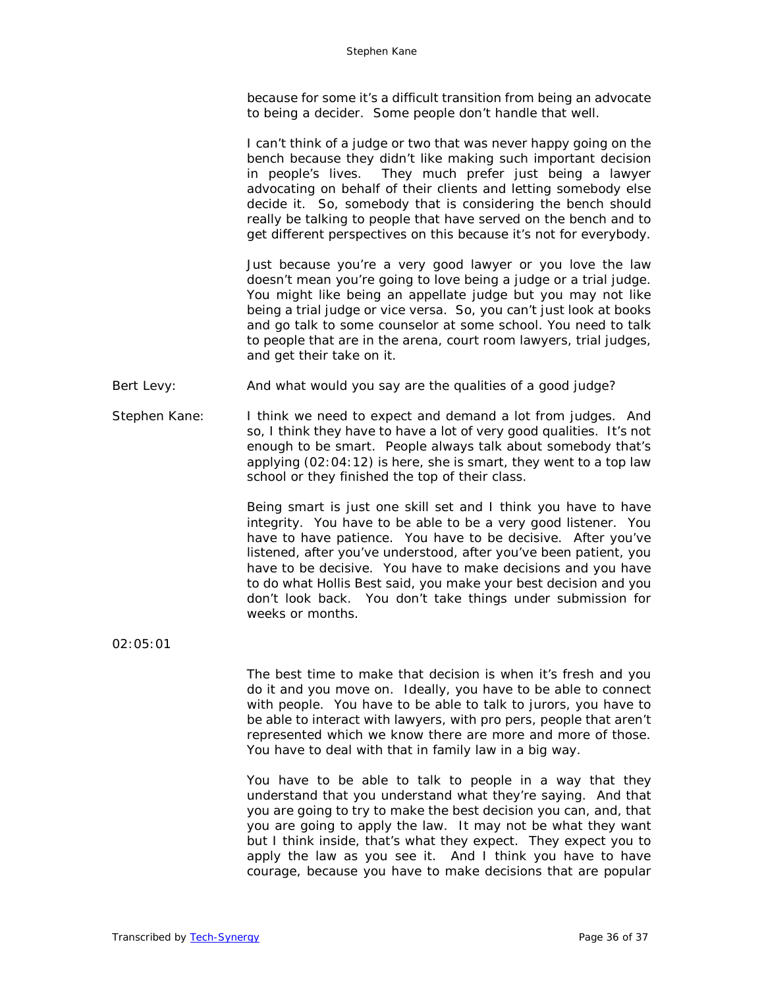because for some it's a difficult transition from being an advocate to being a decider. Some people don't handle that well.

I can't think of a judge or two that was never happy going on the bench because they didn't like making such important decision in people's lives. They much prefer just being a lawyer advocating on behalf of their clients and letting somebody else decide it. So, somebody that is considering the bench should really be talking to people that have served on the bench and to get different perspectives on this because it's not for everybody.

Just because you're a very good lawyer or you love the law doesn't mean you're going to love being a judge or a trial judge. You might like being an appellate judge but you may not like being a trial judge or vice versa. So, you can't just look at books and go talk to some counselor at some school. You need to talk to people that are in the arena, court room lawyers, trial judges, and get their take on it.

- Bert Levy: And what would you say are the qualities of a good judge?
- Stephen Kane: I think we need to expect and demand a lot from judges. And so, I think they have to have a lot of very good qualities. It's not enough to be smart. People always talk about somebody that's applying (02:04:12) is here, she is smart, they went to a top law school or they finished the top of their class.

Being smart is just one skill set and I think you have to have integrity. You have to be able to be a very good listener. You have to have patience. You have to be decisive. After you've listened, after you've understood, after you've been patient, you have to be decisive. You have to make decisions and you have to do what Hollis Best said, you make your best decision and you don't look back. You don't take things under submission for weeks or months.

02:05:01

The best time to make that decision is when it's fresh and you do it and you move on. Ideally, you have to be able to connect with people. You have to be able to talk to jurors, you have to be able to interact with lawyers, with pro pers, people that aren't represented which we know there are more and more of those. You have to deal with that in family law in a big way.

You have to be able to talk to people in a way that they understand that you understand what they're saying. And that you are going to try to make the best decision you can, and, that you are going to apply the law. It may not be what they want but I think inside, that's what they expect. They expect you to apply the law as you see it. And I think you have to have courage, because you have to make decisions that are popular